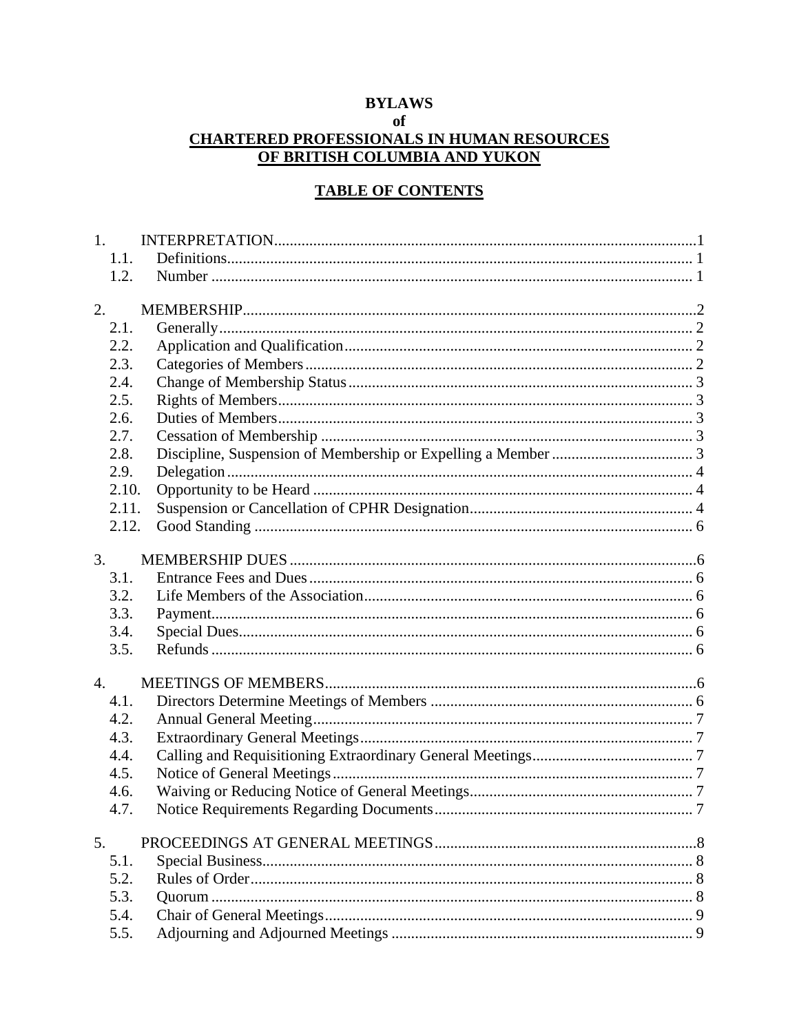# **BYLAWS**

# of

# **CHARTERED PROFESSIONALS IN HUMAN RESOURCES** OF BRITISH COLUMBIA AND YUKON

### **TABLE OF CONTENTS**

|                  | 1.    |  |
|------------------|-------|--|
|                  | 1.1.  |  |
|                  | 1.2.  |  |
| 2.               |       |  |
|                  | 2.1.  |  |
|                  | 2.2.  |  |
|                  | 2.3.  |  |
|                  | 2.4.  |  |
|                  | 2.5.  |  |
|                  | 2.6.  |  |
|                  | 2.7.  |  |
|                  | 2.8.  |  |
|                  | 2.9.  |  |
|                  | 2.10. |  |
|                  | 2.11. |  |
|                  | 2.12. |  |
| 3.               |       |  |
|                  | 3.1.  |  |
|                  | 3.2.  |  |
|                  | 3.3.  |  |
|                  | 3.4.  |  |
|                  | 3.5.  |  |
| $\overline{4}$ . |       |  |
|                  | 4.1.  |  |
|                  | 4.2.  |  |
|                  | 4.3.  |  |
|                  | 4.4.  |  |
|                  | 4.5.  |  |
|                  | 4.6.  |  |
|                  | 4.7.  |  |
| 5.               |       |  |
|                  | 5.1.  |  |
|                  | 5.2.  |  |
|                  | 5.3.  |  |
|                  | 5.4.  |  |
|                  | 5.5.  |  |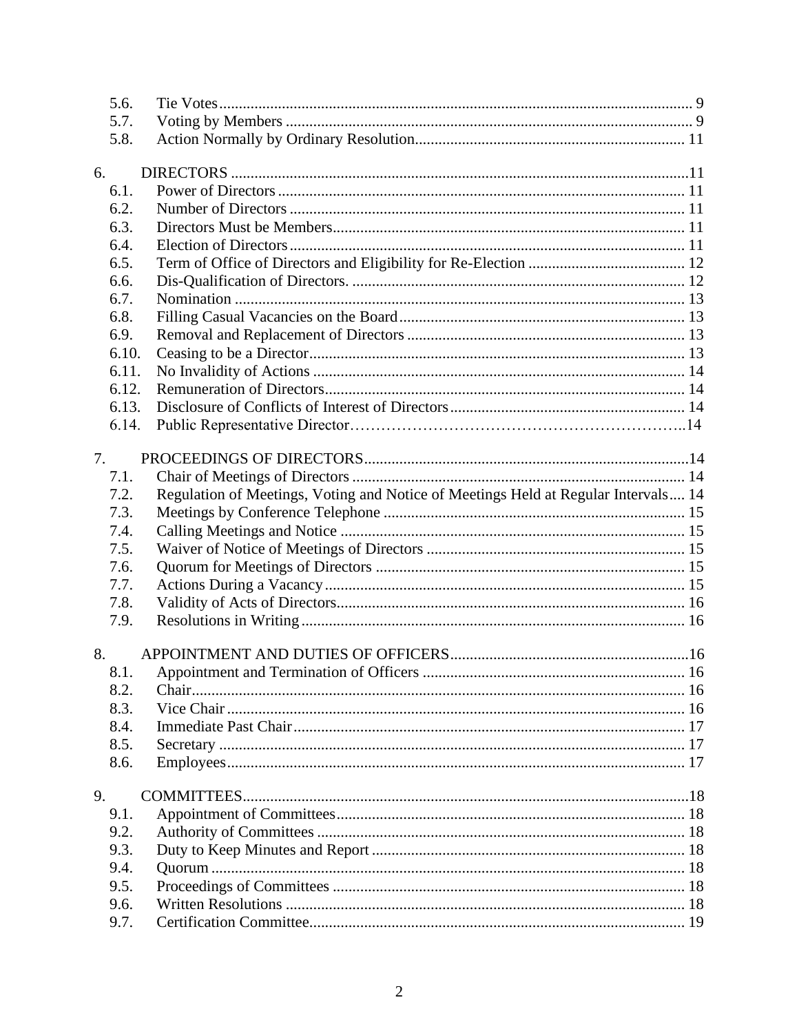|    | 5.6.         |                                                                                    |  |
|----|--------------|------------------------------------------------------------------------------------|--|
|    | 5.7.         |                                                                                    |  |
|    | 5.8.         |                                                                                    |  |
|    |              |                                                                                    |  |
| 6. |              |                                                                                    |  |
|    | 6.1.         |                                                                                    |  |
|    | 6.2.         |                                                                                    |  |
|    | 6.3.         |                                                                                    |  |
|    | 6.4.         |                                                                                    |  |
|    | 6.5.         |                                                                                    |  |
|    | 6.6.         |                                                                                    |  |
|    | 6.7.         |                                                                                    |  |
|    | 6.8.         |                                                                                    |  |
|    | 6.9.         |                                                                                    |  |
|    | 6.10.        |                                                                                    |  |
|    | 6.11.        |                                                                                    |  |
|    | 6.12.        |                                                                                    |  |
|    | 6.13.        |                                                                                    |  |
|    | 6.14.        |                                                                                    |  |
|    |              |                                                                                    |  |
| 7. |              |                                                                                    |  |
|    | 7.1.         |                                                                                    |  |
|    | 7.2.         | Regulation of Meetings, Voting and Notice of Meetings Held at Regular Intervals 14 |  |
|    | 7.3.         |                                                                                    |  |
|    | 7.4.         |                                                                                    |  |
|    | 7.5.         |                                                                                    |  |
|    | 7.6.         |                                                                                    |  |
|    | 7.7.         |                                                                                    |  |
|    | 7.8.         |                                                                                    |  |
|    | 7.9.         |                                                                                    |  |
|    |              |                                                                                    |  |
| 8. |              |                                                                                    |  |
|    | 8.1.         |                                                                                    |  |
|    | 8.2.<br>8.3. |                                                                                    |  |
|    |              |                                                                                    |  |
|    | 8.4.         |                                                                                    |  |
|    | 8.5.         |                                                                                    |  |
|    | 8.6.         |                                                                                    |  |
| 9. |              |                                                                                    |  |
|    | 9.1.         |                                                                                    |  |
|    | 9.2.         |                                                                                    |  |
|    | 9.3.         |                                                                                    |  |
|    | 9.4.         |                                                                                    |  |
|    | 9.5.         |                                                                                    |  |
|    | 9.6.         |                                                                                    |  |
|    | 9.7.         |                                                                                    |  |
|    |              |                                                                                    |  |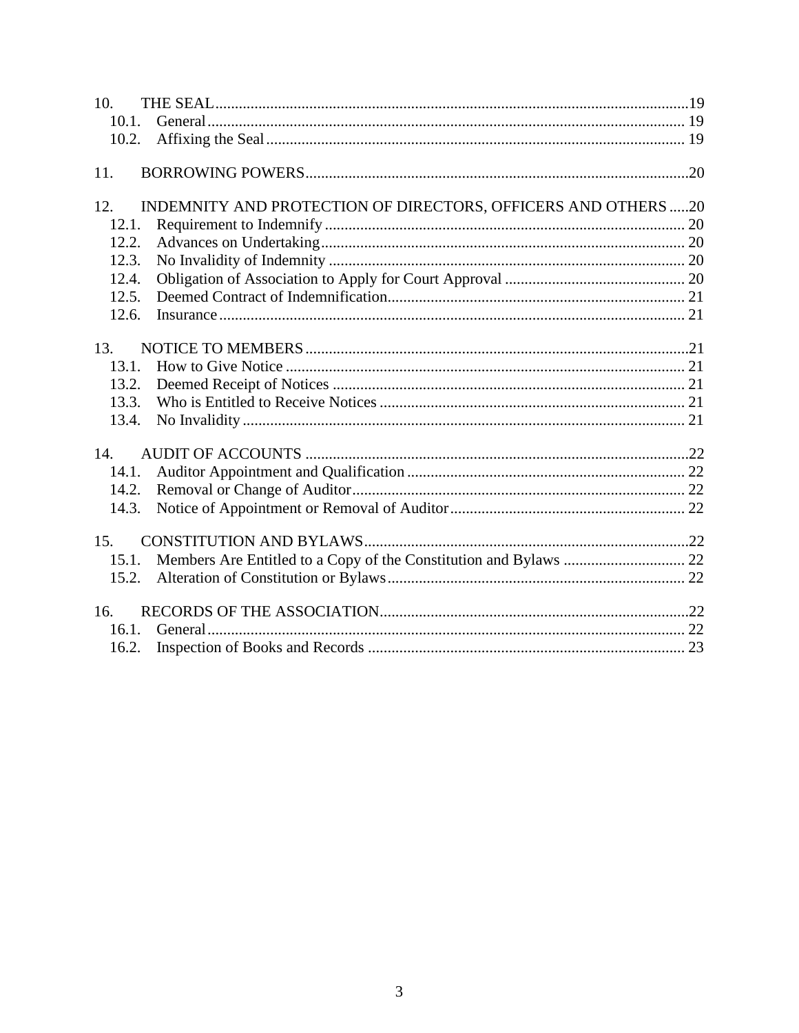| 10.   |                                                               |  |
|-------|---------------------------------------------------------------|--|
| 10.1. |                                                               |  |
| 10.2. |                                                               |  |
| 11.   |                                                               |  |
| 12.   | INDEMNITY AND PROTECTION OF DIRECTORS, OFFICERS AND OTHERS 20 |  |
| 12.1. |                                                               |  |
| 12.2. |                                                               |  |
| 12.3. |                                                               |  |
| 12.4. |                                                               |  |
| 12.5. |                                                               |  |
| 12.6. |                                                               |  |
| 13.   |                                                               |  |
| 13.1. |                                                               |  |
| 13.2. |                                                               |  |
| 13.3. |                                                               |  |
| 13.4. |                                                               |  |
| 14.   |                                                               |  |
| 14.1. |                                                               |  |
| 14.2. |                                                               |  |
| 14.3. |                                                               |  |
| 15.   |                                                               |  |
| 15.1. |                                                               |  |
| 15.2. |                                                               |  |
|       |                                                               |  |
| 16.   |                                                               |  |
| 16.1. |                                                               |  |
| 16.2. |                                                               |  |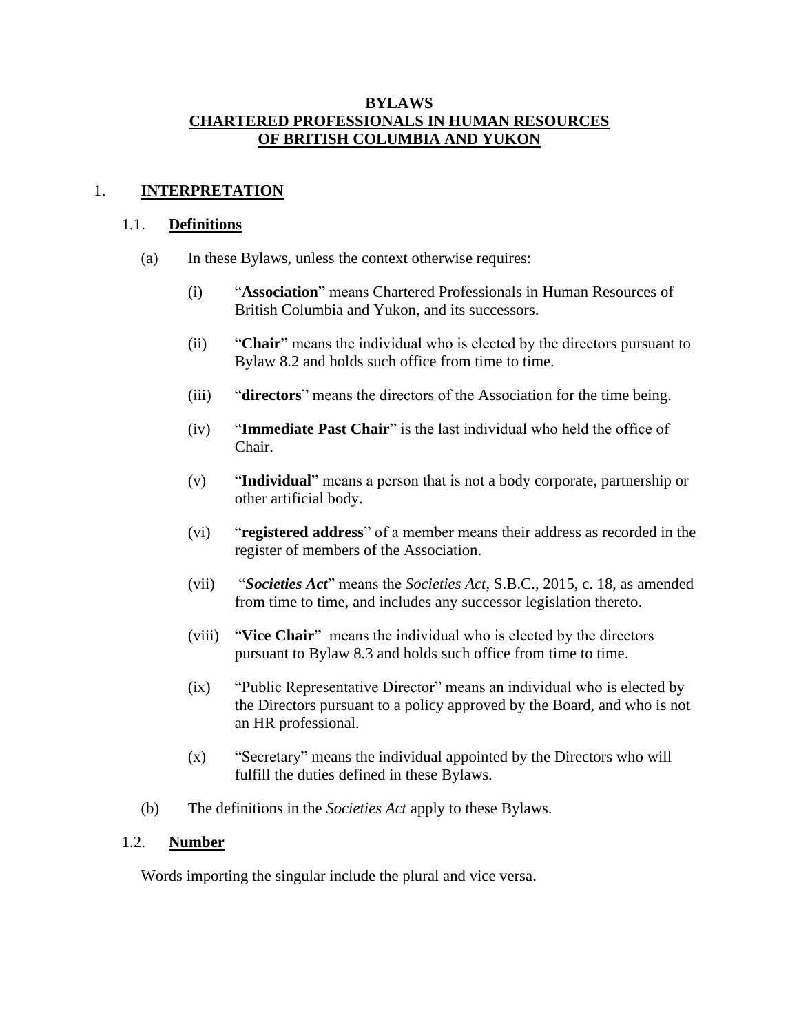#### **BYLAWS CHARTERED PROFESSIONALS IN HUMAN RESOURCES OF BRITISH COLUMBIA AND YUKON**

#### <span id="page-3-1"></span><span id="page-3-0"></span>1. **INTERPRETATION**

#### 1.1. **Definitions**

- (a) In these Bylaws, unless the context otherwise requires:
	- (i) "**Association**" means Chartered Professionals in Human Resources of British Columbia and Yukon, and its successors.
	- (ii) "**Chair**" means the individual who is elected by the directors pursuant to Bylaw 8.2 and holds such office from time to time.
	- (iii) "**directors**" means the directors of the Association for the time being.
	- (iv) "**Immediate Past Chair**" is the last individual who held the office of Chair.
	- (v) "**Individual**" means a person that is not a body corporate, partnership or other artificial body.
	- (vi) "**registered address**" of a member means their address as recorded in the register of members of the Association.
	- (vii) "*Societies Act*" means the *Societies Act*, S.B.C., 2015, c. 18, as amended from time to time, and includes any successor legislation thereto.
	- (viii) "**Vice Chair**" means the individual who is elected by the directors pursuant to Bylaw 8.3 and holds such office from time to time.
	- (ix) "Public Representative Director" means an individual who is elected by the Directors pursuant to a policy approved by the Board, and who is not an HR professional.
	- (x) "Secretary" means the individual appointed by the Directors who will fulfill the duties defined in these Bylaws.
- (b) The definitions in the *Societies Act* apply to these Bylaws.

#### <span id="page-3-2"></span>1.2. **Number**

Words importing the singular include the plural and vice versa.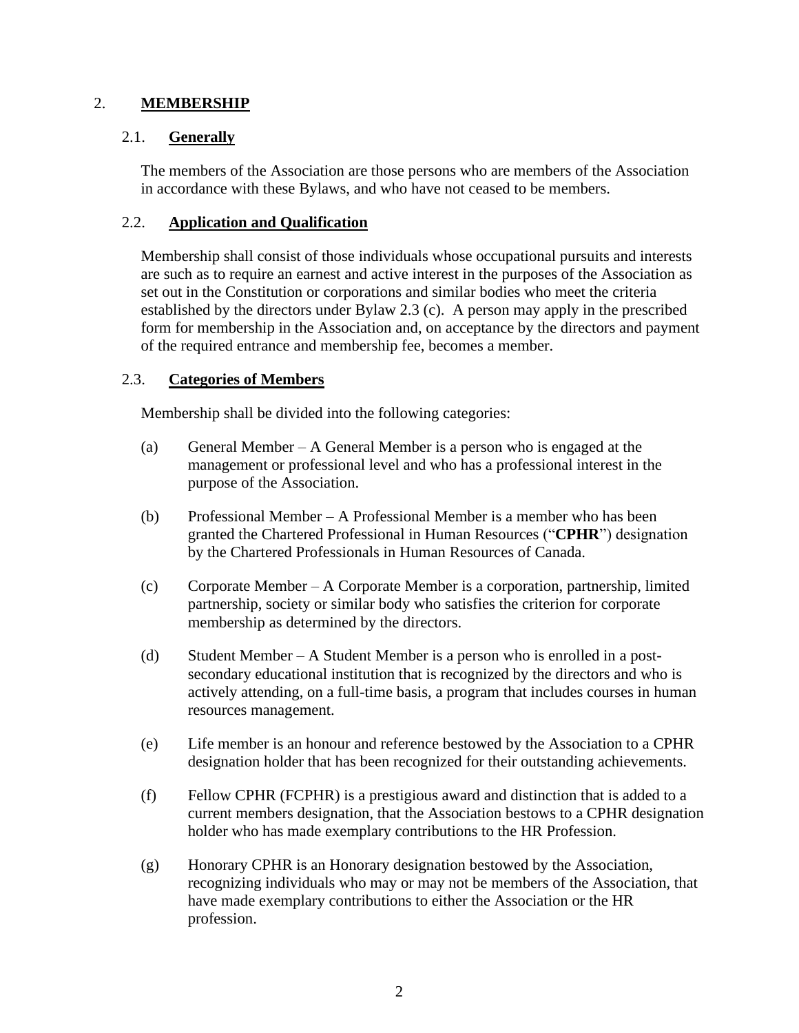### <span id="page-4-0"></span>2. **MEMBERSHIP**

### <span id="page-4-1"></span>2.1. **Generally**

The members of the Association are those persons who are members of the Association in accordance with these Bylaws, and who have not ceased to be members.

### <span id="page-4-2"></span>2.2. **Application and Qualification**

Membership shall consist of those individuals whose occupational pursuits and interests are such as to require an earnest and active interest in the purposes of the Association as set out in the Constitution or corporations and similar bodies who meet the criteria established by the directors under Bylaw 2.3 (c). A person may apply in the prescribed form for membership in the Association and, on acceptance by the directors and payment of the required entrance and membership fee, becomes a member.

### <span id="page-4-3"></span>2.3. **Categories of Members**

Membership shall be divided into the following categories:

- (a) General Member A General Member is a person who is engaged at the management or professional level and who has a professional interest in the purpose of the Association.
- (b) Professional Member A Professional Member is a member who has been granted the Chartered Professional in Human Resources ("**CPHR**") designation by the Chartered Professionals in Human Resources of Canada.
- (c) Corporate Member A Corporate Member is a corporation, partnership, limited partnership, society or similar body who satisfies the criterion for corporate membership as determined by the directors.
- (d) Student Member A Student Member is a person who is enrolled in a postsecondary educational institution that is recognized by the directors and who is actively attending, on a full-time basis, a program that includes courses in human resources management.
- (e) Life member is an honour and reference bestowed by the Association to a CPHR designation holder that has been recognized for their outstanding achievements.
- (f) Fellow CPHR (FCPHR) is a prestigious award and distinction that is added to a current members designation, that the Association bestows to a CPHR designation holder who has made exemplary contributions to the HR Profession.
- (g) Honorary CPHR is an Honorary designation bestowed by the Association, recognizing individuals who may or may not be members of the Association, that have made exemplary contributions to either the Association or the HR profession.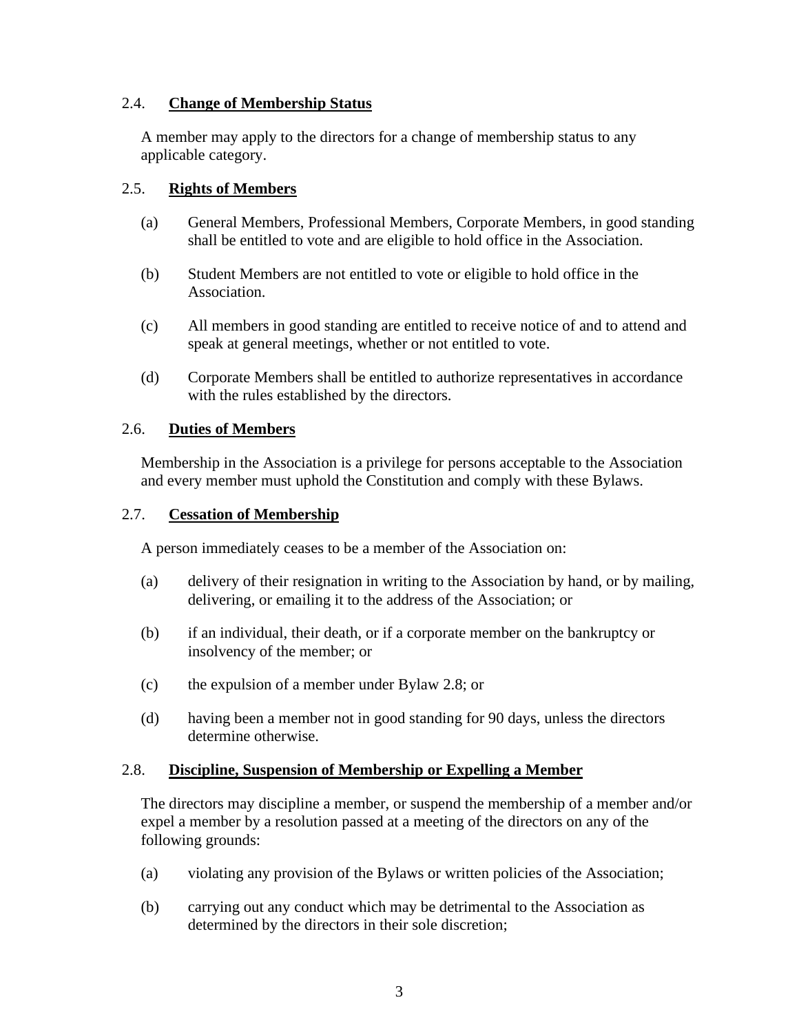# <span id="page-5-0"></span>2.4. **Change of Membership Status**

A member may apply to the directors for a change of membership status to any applicable category.

### <span id="page-5-1"></span>2.5. **Rights of Members**

- (a) General Members, Professional Members, Corporate Members, in good standing shall be entitled to vote and are eligible to hold office in the Association.
- (b) Student Members are not entitled to vote or eligible to hold office in the Association.
- (c) All members in good standing are entitled to receive notice of and to attend and speak at general meetings, whether or not entitled to vote.
- (d) Corporate Members shall be entitled to authorize representatives in accordance with the rules established by the directors.

### <span id="page-5-2"></span>2.6. **Duties of Members**

Membership in the Association is a privilege for persons acceptable to the Association and every member must uphold the Constitution and comply with these Bylaws.

#### <span id="page-5-3"></span>2.7. **Cessation of Membership**

A person immediately ceases to be a member of the Association on:

- (a) delivery of their resignation in writing to the Association by hand, or by mailing, delivering, or emailing it to the address of the Association; or
- (b) if an individual, their death, or if a corporate member on the bankruptcy or insolvency of the member; or
- (c) the expulsion of a member under Bylaw [2.8;](#page-5-4) or
- (d) having been a member not in good standing for 90 days, unless the directors determine otherwise.

#### <span id="page-5-4"></span>2.8. **Discipline, Suspension of Membership or Expelling a Member**

The directors may discipline a member, or suspend the membership of a member and/or expel a member by a resolution passed at a meeting of the directors on any of the following grounds:

- (a) violating any provision of the Bylaws or written policies of the Association;
- (b) carrying out any conduct which may be detrimental to the Association as determined by the directors in their sole discretion;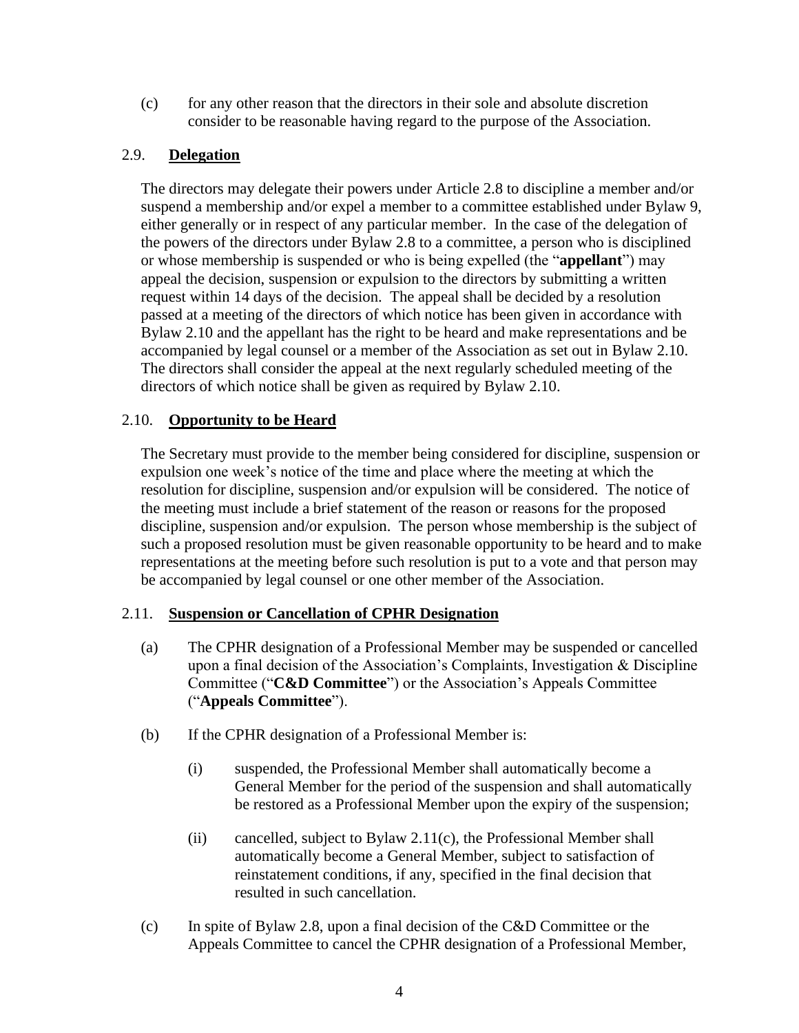(c) for any other reason that the directors in their sole and absolute discretion consider to be reasonable having regard to the purpose of the Association.

# <span id="page-6-0"></span>2.9. **Delegation**

The directors may delegate their powers under Article 2.8 to discipline a member and/or suspend a membership and/or expel a member to a committee established under Bylaw [9,](#page-20-0) either generally or in respect of any particular member. In the case of the delegation of the powers of the directors under Bylaw [2.8](#page-5-4) to a committee, a person who is disciplined or whose membership is suspended or who is being expelled (the "**appellant**") may appeal the decision, suspension or expulsion to the directors by submitting a written request within 14 days of the decision. The appeal shall be decided by a resolution passed at a meeting of the directors of which notice has been given in accordance with Bylaw 2.10 and the appellant has the right to be heard and make representations and be accompanied by legal counsel or a member of the Association as set out in Bylaw [2.10.](#page-6-1) The directors shall consider the appeal at the next regularly scheduled meeting of the directors of which notice shall be given as required by Bylaw [2.10.](#page-6-1)

# <span id="page-6-1"></span>2.10. **Opportunity to be Heard**

The Secretary must provide to the member being considered for discipline, suspension or expulsion one week's notice of the time and place where the meeting at which the resolution for discipline, suspension and/or expulsion will be considered. The notice of the meeting must include a brief statement of the reason or reasons for the proposed discipline, suspension and/or expulsion. The person whose membership is the subject of such a proposed resolution must be given reasonable opportunity to be heard and to make representations at the meeting before such resolution is put to a vote and that person may be accompanied by legal counsel or one other member of the Association.

# <span id="page-6-2"></span>2.11. **Suspension or Cancellation of CPHR Designation**

- (a) The CPHR designation of a Professional Member may be suspended or cancelled upon a final decision of the Association's Complaints, Investigation & Discipline Committee ("**C&D Committee**") or the Association's Appeals Committee ("**Appeals Committee**").
- (b) If the CPHR designation of a Professional Member is:
	- (i) suspended, the Professional Member shall automatically become a General Member for the period of the suspension and shall automatically be restored as a Professional Member upon the expiry of the suspension;
	- (ii) cancelled, subject to Bylaw [2.11\(c\),](#page-6-3) the Professional Member shall automatically become a General Member, subject to satisfaction of reinstatement conditions, if any, specified in the final decision that resulted in such cancellation.
- <span id="page-6-3"></span>(c) In spite of Bylaw 2.8, upon a final decision of the C&D Committee or the Appeals Committee to cancel the CPHR designation of a Professional Member,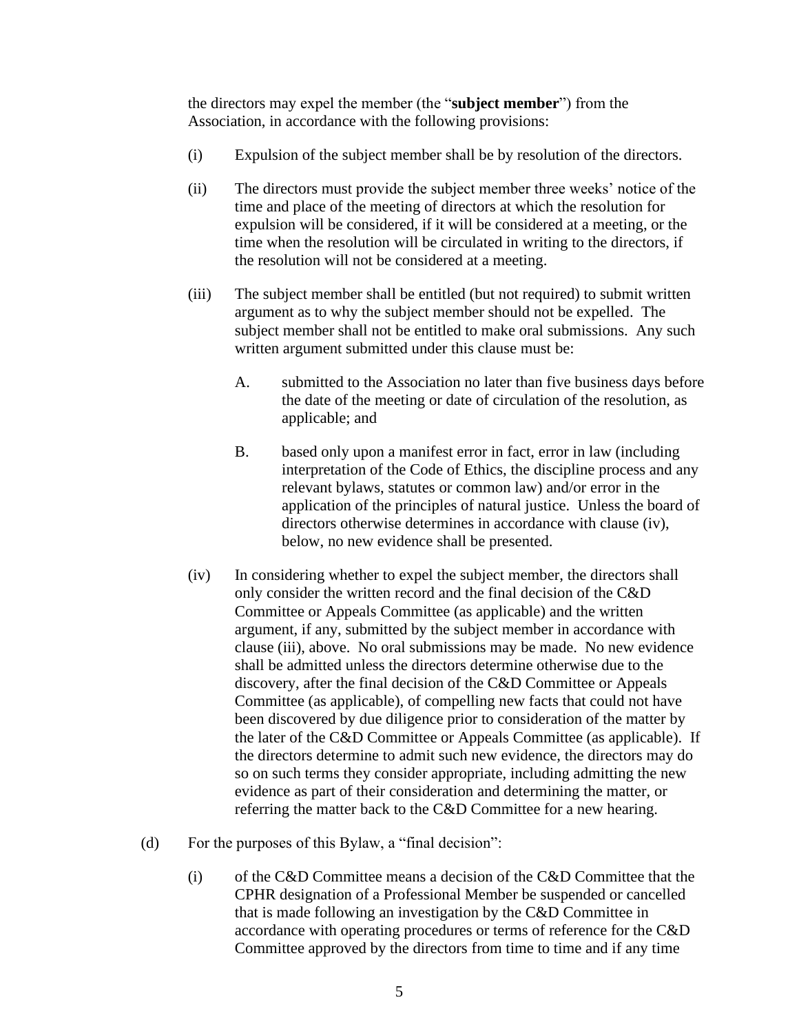the directors may expel the member (the "**subject member**") from the Association, in accordance with the following provisions:

- (i) Expulsion of the subject member shall be by resolution of the directors.
- (ii) The directors must provide the subject member three weeks' notice of the time and place of the meeting of directors at which the resolution for expulsion will be considered, if it will be considered at a meeting, or the time when the resolution will be circulated in writing to the directors, if the resolution will not be considered at a meeting.
- (iii) The subject member shall be entitled (but not required) to submit written argument as to why the subject member should not be expelled. The subject member shall not be entitled to make oral submissions. Any such written argument submitted under this clause must be:
	- A. submitted to the Association no later than five business days before the date of the meeting or date of circulation of the resolution, as applicable; and
	- B. based only upon a manifest error in fact, error in law (including interpretation of the Code of Ethics, the discipline process and any relevant bylaws, statutes or common law) and/or error in the application of the principles of natural justice. Unless the board of directors otherwise determines in accordance with clause (iv), below, no new evidence shall be presented.
- (iv) In considering whether to expel the subject member, the directors shall only consider the written record and the final decision of the C&D Committee or Appeals Committee (as applicable) and the written argument, if any, submitted by the subject member in accordance with clause (iii), above. No oral submissions may be made. No new evidence shall be admitted unless the directors determine otherwise due to the discovery, after the final decision of the C&D Committee or Appeals Committee (as applicable), of compelling new facts that could not have been discovered by due diligence prior to consideration of the matter by the later of the C&D Committee or Appeals Committee (as applicable). If the directors determine to admit such new evidence, the directors may do so on such terms they consider appropriate, including admitting the new evidence as part of their consideration and determining the matter, or referring the matter back to the C&D Committee for a new hearing.
- (d) For the purposes of this Bylaw, a "final decision":
	- (i) of the C&D Committee means a decision of the C&D Committee that the CPHR designation of a Professional Member be suspended or cancelled that is made following an investigation by the C&D Committee in accordance with operating procedures or terms of reference for the C&D Committee approved by the directors from time to time and if any time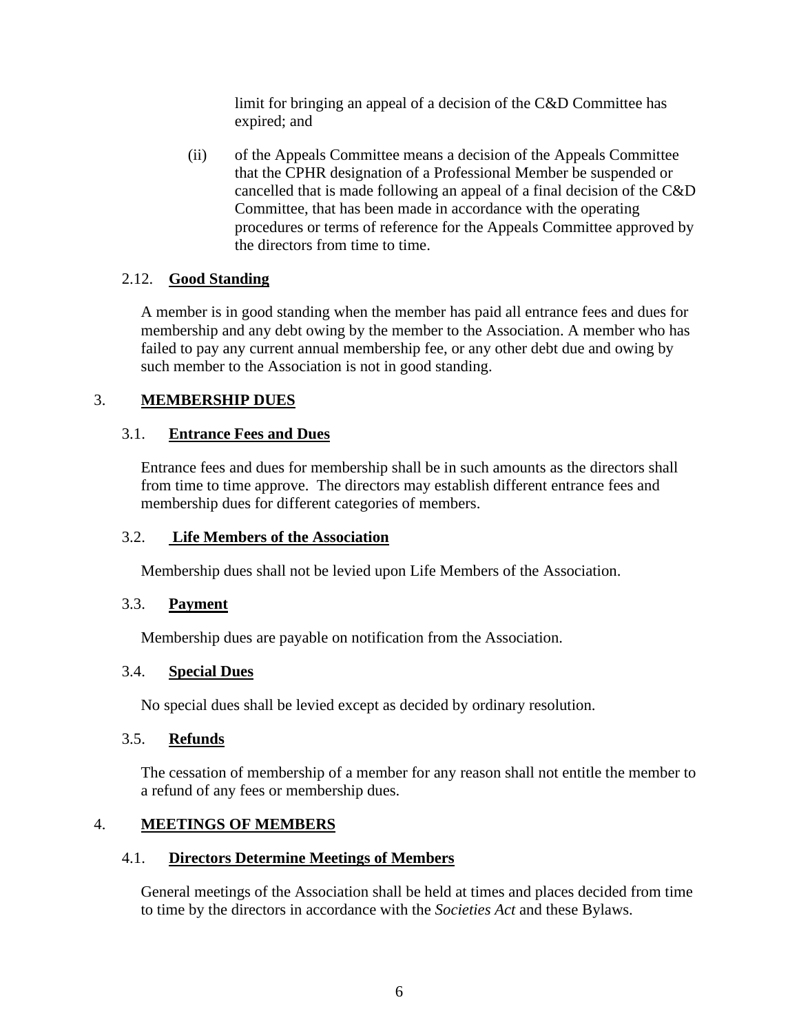limit for bringing an appeal of a decision of the C&D Committee has expired; and

(ii) of the Appeals Committee means a decision of the Appeals Committee that the CPHR designation of a Professional Member be suspended or cancelled that is made following an appeal of a final decision of the C&D Committee, that has been made in accordance with the operating procedures or terms of reference for the Appeals Committee approved by the directors from time to time.

# <span id="page-8-0"></span>2.12. **Good Standing**

A member is in good standing when the member has paid all entrance fees and dues for membership and any debt owing by the member to the Association. A member who has failed to pay any current annual membership fee, or any other debt due and owing by such member to the Association is not in good standing.

# <span id="page-8-1"></span>3. **MEMBERSHIP DUES**

# <span id="page-8-2"></span>3.1. **Entrance Fees and Dues**

Entrance fees and dues for membership shall be in such amounts as the directors shall from time to time approve. The directors may establish different entrance fees and membership dues for different categories of members.

# <span id="page-8-3"></span>3.2. **Life Members of the Association**

Membership dues shall not be levied upon Life Members of the Association.

# <span id="page-8-4"></span>3.3. **Payment**

Membership dues are payable on notification from the Association.

# <span id="page-8-5"></span>3.4. **Special Dues**

No special dues shall be levied except as decided by ordinary resolution.

# <span id="page-8-6"></span>3.5. **Refunds**

The cessation of membership of a member for any reason shall not entitle the member to a refund of any fees or membership dues.

# <span id="page-8-7"></span>4. **MEETINGS OF MEMBERS**

# <span id="page-8-8"></span>4.1. **Directors Determine Meetings of Members**

General meetings of the Association shall be held at times and places decided from time to time by the directors in accordance with the *Societies Act* and these Bylaws.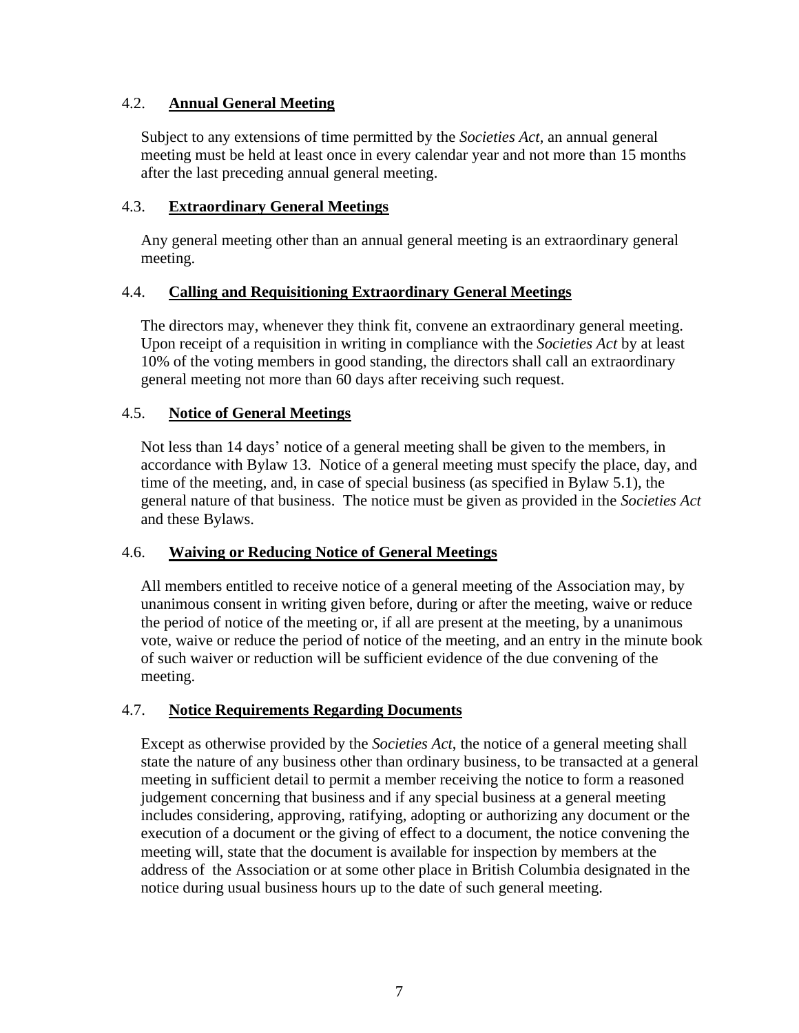# <span id="page-9-0"></span>4.2. **Annual General Meeting**

Subject to any extensions of time permitted by the *Societies Act*, an annual general meeting must be held at least once in every calendar year and not more than 15 months after the last preceding annual general meeting.

### <span id="page-9-1"></span>4.3. **Extraordinary General Meetings**

Any general meeting other than an annual general meeting is an extraordinary general meeting.

### <span id="page-9-2"></span>4.4. **Calling and Requisitioning Extraordinary General Meetings**

The directors may, whenever they think fit, convene an extraordinary general meeting. Upon receipt of a requisition in writing in compliance with the *Societies Act* by at least 10% of the voting members in good standing, the directors shall call an extraordinary general meeting not more than 60 days after receiving such request.

### <span id="page-9-3"></span>4.5. **Notice of General Meetings**

Not less than 14 days' notice of a general meeting shall be given to the members, in accordance with Bylaw [13.](#page-23-2) Notice of a general meeting must specify the place, day, and time of the meeting, and, in case of special business (as specified in Bylaw [5.1\)](#page-10-1), the general nature of that business. The notice must be given as provided in the *Societies Act* and these Bylaws.

# <span id="page-9-4"></span>4.6. **Waiving or Reducing Notice of General Meetings**

All members entitled to receive notice of a general meeting of the Association may, by unanimous consent in writing given before, during or after the meeting, waive or reduce the period of notice of the meeting or, if all are present at the meeting, by a unanimous vote, waive or reduce the period of notice of the meeting, and an entry in the minute book of such waiver or reduction will be sufficient evidence of the due convening of the meeting.

# <span id="page-9-5"></span>4.7. **Notice Requirements Regarding Documents**

Except as otherwise provided by the *Societies Act*, the notice of a general meeting shall state the nature of any business other than ordinary business, to be transacted at a general meeting in sufficient detail to permit a member receiving the notice to form a reasoned judgement concerning that business and if any special business at a general meeting includes considering, approving, ratifying, adopting or authorizing any document or the execution of a document or the giving of effect to a document, the notice convening the meeting will, state that the document is available for inspection by members at the address of the Association or at some other place in British Columbia designated in the notice during usual business hours up to the date of such general meeting.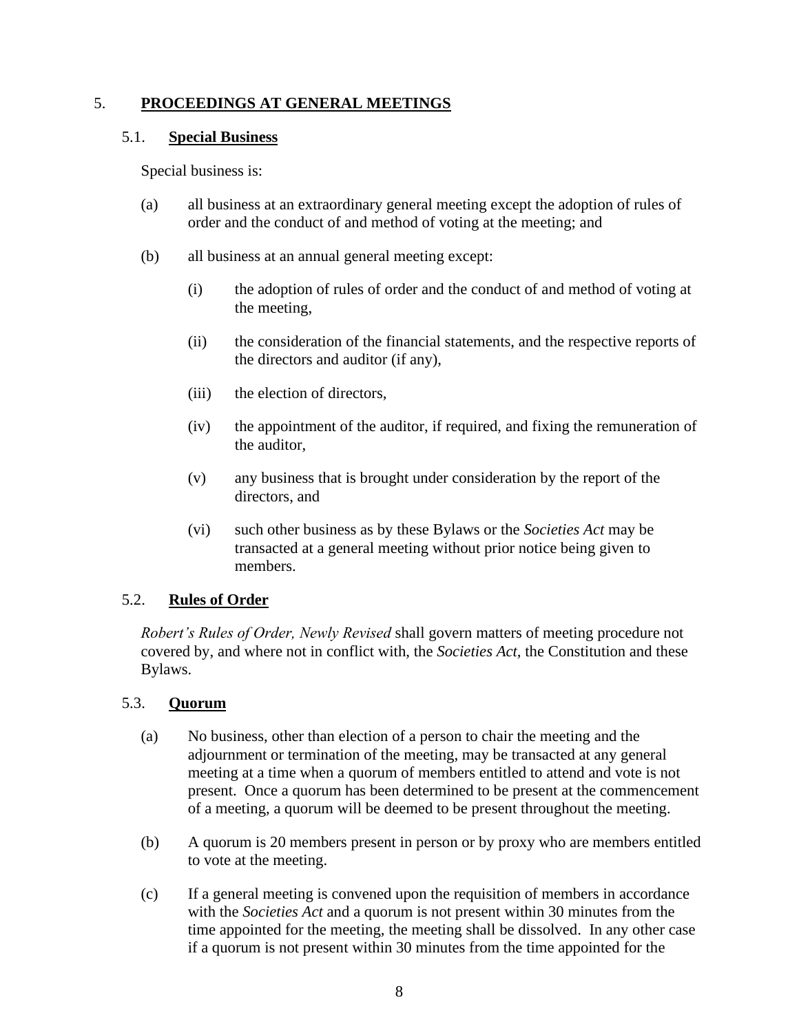### <span id="page-10-0"></span>5. **PROCEEDINGS AT GENERAL MEETINGS**

#### <span id="page-10-1"></span>5.1. **Special Business**

Special business is:

- (a) all business at an extraordinary general meeting except the adoption of rules of order and the conduct of and method of voting at the meeting; and
- (b) all business at an annual general meeting except:
	- (i) the adoption of rules of order and the conduct of and method of voting at the meeting,
	- (ii) the consideration of the financial statements, and the respective reports of the directors and auditor (if any),
	- (iii) the election of directors,
	- (iv) the appointment of the auditor, if required, and fixing the remuneration of the auditor,
	- (v) any business that is brought under consideration by the report of the directors, and
	- (vi) such other business as by these Bylaws or the *Societies Act* may be transacted at a general meeting without prior notice being given to members.

# <span id="page-10-2"></span>5.2. **Rules of Order**

*Robert's Rules of Order, Newly Revised* shall govern matters of meeting procedure not covered by, and where not in conflict with, the *Societies Act,* the Constitution and these Bylaws.

#### <span id="page-10-3"></span>5.3. **Quorum**

- (a) No business, other than election of a person to chair the meeting and the adjournment or termination of the meeting, may be transacted at any general meeting at a time when a quorum of members entitled to attend and vote is not present. Once a quorum has been determined to be present at the commencement of a meeting, a quorum will be deemed to be present throughout the meeting.
- (b) A quorum is 20 members present in person or by proxy who are members entitled to vote at the meeting.
- <span id="page-10-4"></span>(c) If a general meeting is convened upon the requisition of members in accordance with the *Societies Act* and a quorum is not present within 30 minutes from the time appointed for the meeting, the meeting shall be dissolved. In any other case if a quorum is not present within 30 minutes from the time appointed for the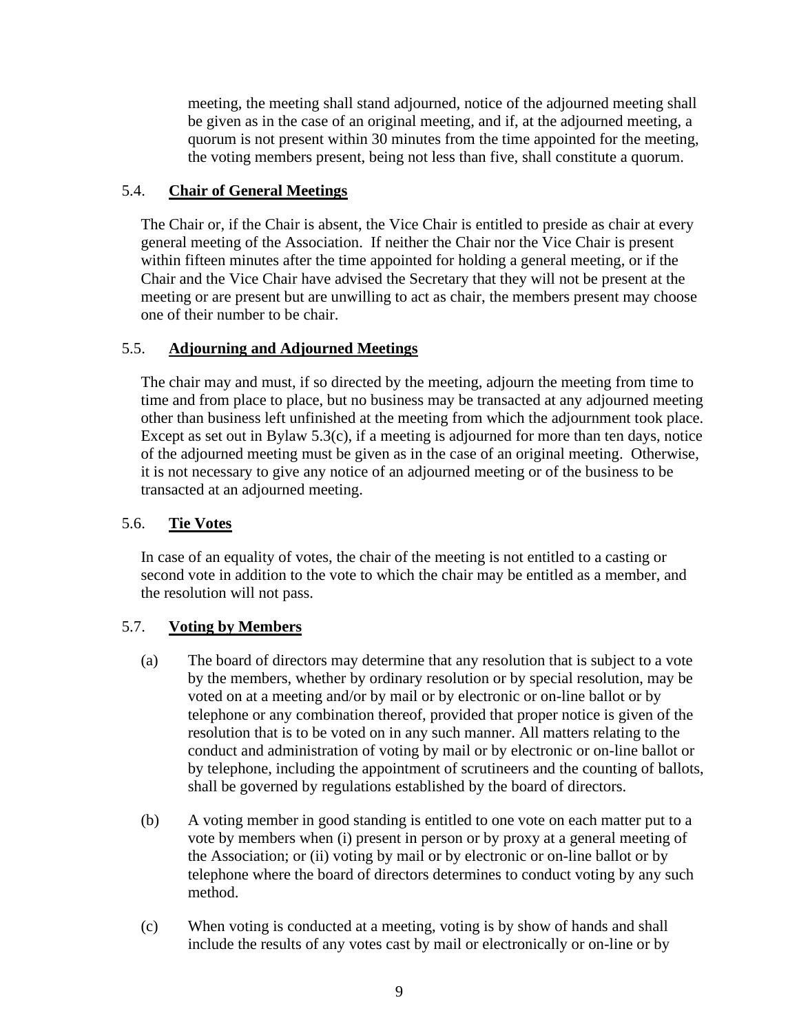meeting, the meeting shall stand adjourned, notice of the adjourned meeting shall be given as in the case of an original meeting, and if, at the adjourned meeting, a quorum is not present within 30 minutes from the time appointed for the meeting, the voting members present, being not less than five, shall constitute a quorum.

# <span id="page-11-0"></span>5.4. **Chair of General Meetings**

The Chair or, if the Chair is absent, the Vice Chair is entitled to preside as chair at every general meeting of the Association. If neither the Chair nor the Vice Chair is present within fifteen minutes after the time appointed for holding a general meeting, or if the Chair and the Vice Chair have advised the Secretary that they will not be present at the meeting or are present but are unwilling to act as chair, the members present may choose one of their number to be chair.

### <span id="page-11-1"></span>5.5. **Adjourning and Adjourned Meetings**

The chair may and must, if so directed by the meeting, adjourn the meeting from time to time and from place to place, but no business may be transacted at any adjourned meeting other than business left unfinished at the meeting from which the adjournment took place. Except as set out in Bylaw [5.3\(c\),](#page-10-4) if a meeting is adjourned for more than ten days, notice of the adjourned meeting must be given as in the case of an original meeting. Otherwise, it is not necessary to give any notice of an adjourned meeting or of the business to be transacted at an adjourned meeting.

### <span id="page-11-2"></span>5.6. **Tie Votes**

In case of an equality of votes, the chair of the meeting is not entitled to a casting or second vote in addition to the vote to which the chair may be entitled as a member, and the resolution will not pass.

# <span id="page-11-3"></span>5.7. **Voting by Members**

- (a) The board of directors may determine that any resolution that is subject to a vote by the members, whether by ordinary resolution or by special resolution, may be voted on at a meeting and/or by mail or by electronic or on-line ballot or by telephone or any combination thereof, provided that proper notice is given of the resolution that is to be voted on in any such manner. All matters relating to the conduct and administration of voting by mail or by electronic or on-line ballot or by telephone, including the appointment of scrutineers and the counting of ballots, shall be governed by regulations established by the board of directors.
- (b) A voting member in good standing is entitled to one vote on each matter put to a vote by members when (i) present in person or by proxy at a general meeting of the Association; or (ii) voting by mail or by electronic or on-line ballot or by telephone where the board of directors determines to conduct voting by any such method.
- (c) When voting is conducted at a meeting, voting is by show of hands and shall include the results of any votes cast by mail or electronically or on-line or by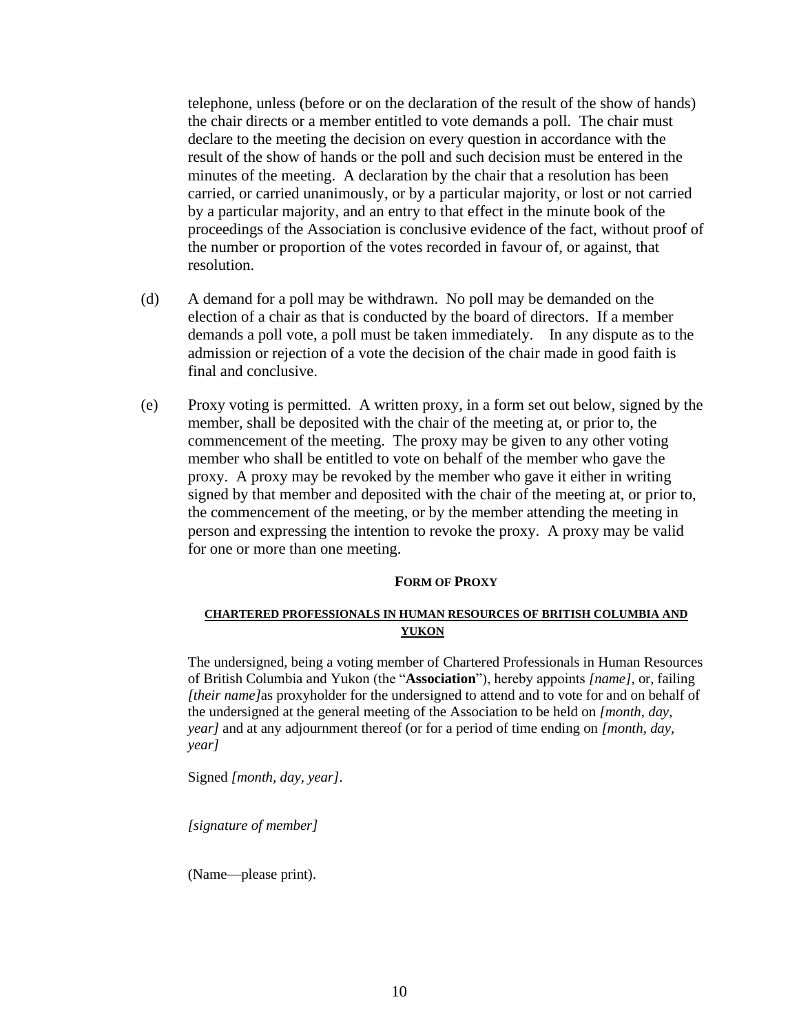telephone, unless (before or on the declaration of the result of the show of hands) the chair directs or a member entitled to vote demands a poll. The chair must declare to the meeting the decision on every question in accordance with the result of the show of hands or the poll and such decision must be entered in the minutes of the meeting. A declaration by the chair that a resolution has been carried, or carried unanimously, or by a particular majority, or lost or not carried by a particular majority, and an entry to that effect in the minute book of the proceedings of the Association is conclusive evidence of the fact, without proof of the number or proportion of the votes recorded in favour of, or against, that resolution.

- (d) A demand for a poll may be withdrawn. No poll may be demanded on the election of a chair as that is conducted by the board of directors. If a member demands a poll vote, a poll must be taken immediately. In any dispute as to the admission or rejection of a vote the decision of the chair made in good faith is final and conclusive.
- (e) Proxy voting is permitted. A written proxy, in a form set out below, signed by the member, shall be deposited with the chair of the meeting at, or prior to, the commencement of the meeting. The proxy may be given to any other voting member who shall be entitled to vote on behalf of the member who gave the proxy. A proxy may be revoked by the member who gave it either in writing signed by that member and deposited with the chair of the meeting at, or prior to, the commencement of the meeting, or by the member attending the meeting in person and expressing the intention to revoke the proxy. A proxy may be valid for one or more than one meeting.

#### **FORM OF PROXY**

#### **CHARTERED PROFESSIONALS IN HUMAN RESOURCES OF BRITISH COLUMBIA AND YUKON**

The undersigned, being a voting member of Chartered Professionals in Human Resources of British Columbia and Yukon (the "**Association**"), hereby appoints *[name]*, or, failing *[their name]*as proxyholder for the undersigned to attend and to vote for and on behalf of the undersigned at the general meeting of the Association to be held on *[month, day, year]* and at any adjournment thereof (or for a period of time ending on *[month, day, year]*

Signed *[month, day, year]*.

*[signature of member]*

(Name—please print).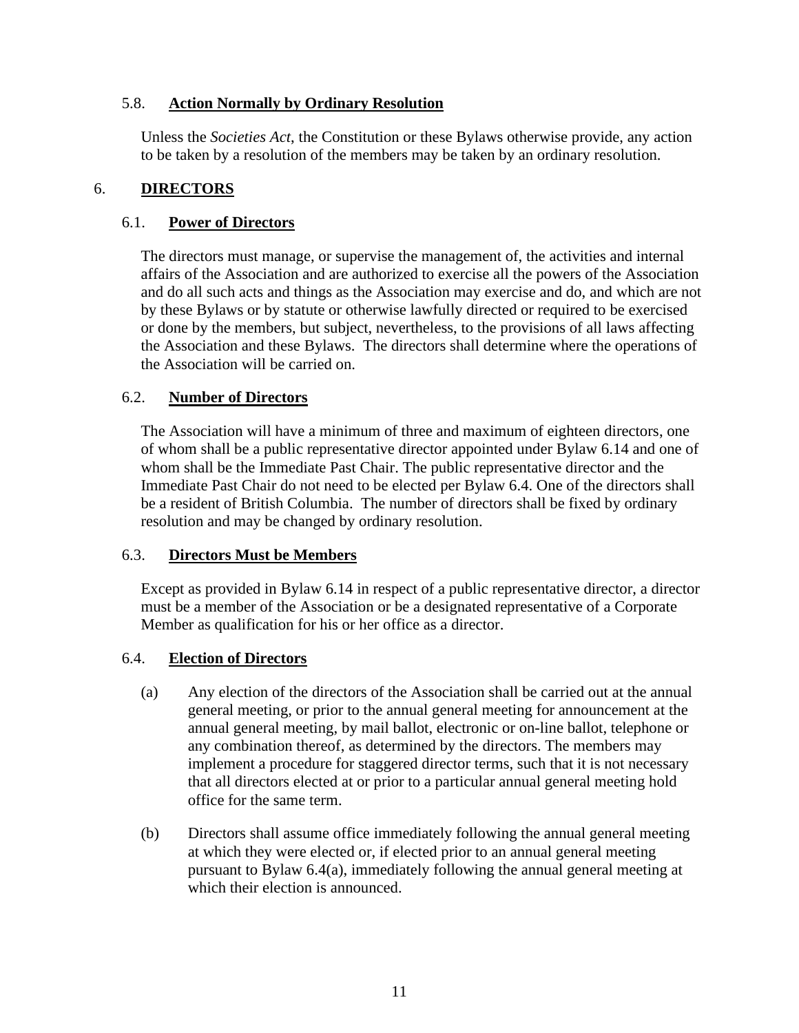### <span id="page-13-0"></span>5.8. **Action Normally by Ordinary Resolution**

Unless the *Societies Act*, the Constitution or these Bylaws otherwise provide, any action to be taken by a resolution of the members may be taken by an ordinary resolution.

### <span id="page-13-1"></span>6. **DIRECTORS**

#### <span id="page-13-2"></span>6.1. **Power of Directors**

The directors must manage, or supervise the management of, the activities and internal affairs of the Association and are authorized to exercise all the powers of the Association and do all such acts and things as the Association may exercise and do, and which are not by these Bylaws or by statute or otherwise lawfully directed or required to be exercised or done by the members, but subject, nevertheless, to the provisions of all laws affecting the Association and these Bylaws. The directors shall determine where the operations of the Association will be carried on.

# <span id="page-13-3"></span>6.2. **Number of Directors**

The Association will have a minimum of three and maximum of eighteen directors, one of whom shall be a public representative director appointed under Bylaw 6.14 and one of whom shall be the Immediate Past Chair. The public representative director and the Immediate Past Chair do not need to be elected per Bylaw 6.4. One of the directors shall be a resident of British Columbia. The number of directors shall be fixed by ordinary resolution and may be changed by ordinary resolution.

# <span id="page-13-4"></span>6.3. **Directors Must be Members**

Except as provided in Bylaw 6.14 in respect of a public representative director, a director must be a member of the Association or be a designated representative of a Corporate Member as qualification for his or her office as a director.

#### <span id="page-13-5"></span>6.4. **Election of Directors**

- (a) Any election of the directors of the Association shall be carried out at the annual general meeting, or prior to the annual general meeting for announcement at the annual general meeting, by mail ballot, electronic or on-line ballot, telephone or any combination thereof, as determined by the directors. The members may implement a procedure for staggered director terms, such that it is not necessary that all directors elected at or prior to a particular annual general meeting hold office for the same term.
- (b) Directors shall assume office immediately following the annual general meeting at which they were elected or, if elected prior to an annual general meeting pursuant to Bylaw 6.4(a), immediately following the annual general meeting at which their election is announced.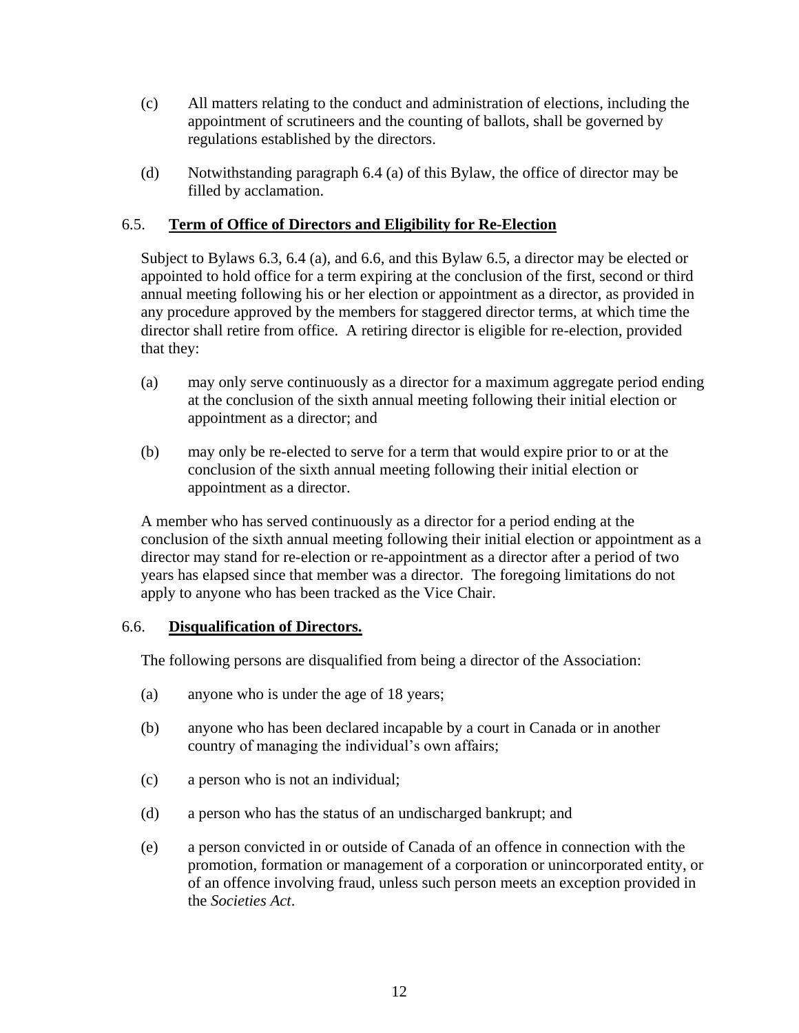- (c) All matters relating to the conduct and administration of elections, including the appointment of scrutineers and the counting of ballots, shall be governed by regulations established by the directors.
- (d) Notwithstanding paragraph 6.4 (a) of this Bylaw, the office of director may be filled by acclamation.

### <span id="page-14-0"></span>6.5. **Term of Office of Directors and Eligibility for Re-Election**

Subject to Bylaws [6.3,](#page-13-4) 6.4 (a), and [6.6,](#page-14-1) and this Bylaw [6.5,](#page-14-0) a director may be elected or appointed to hold office for a term expiring at the conclusion of the first, second or third annual meeting following his or her election or appointment as a director, as provided in any procedure approved by the members for staggered director terms, at which time the director shall retire from office. A retiring director is eligible for re-election, provided that they:

- (a) may only serve continuously as a director for a maximum aggregate period ending at the conclusion of the sixth annual meeting following their initial election or appointment as a director; and
- (b) may only be re-elected to serve for a term that would expire prior to or at the conclusion of the sixth annual meeting following their initial election or appointment as a director.

A member who has served continuously as a director for a period ending at the conclusion of the sixth annual meeting following their initial election or appointment as a director may stand for re-election or re-appointment as a director after a period of two years has elapsed since that member was a director. The foregoing limitations do not apply to anyone who has been tracked as the Vice Chair.

#### <span id="page-14-1"></span>6.6. **Disqualification of Directors.**

The following persons are disqualified from being a director of the Association:

- (a) anyone who is under the age of 18 years;
- (b) anyone who has been declared incapable by a court in Canada or in another country of managing the individual's own affairs;
- (c) a person who is not an individual;
- (d) a person who has the status of an undischarged bankrupt; and
- (e) a person convicted in or outside of Canada of an offence in connection with the promotion, formation or management of a corporation or unincorporated entity, or of an offence involving fraud, unless such person meets an exception provided in the *Societies Act*.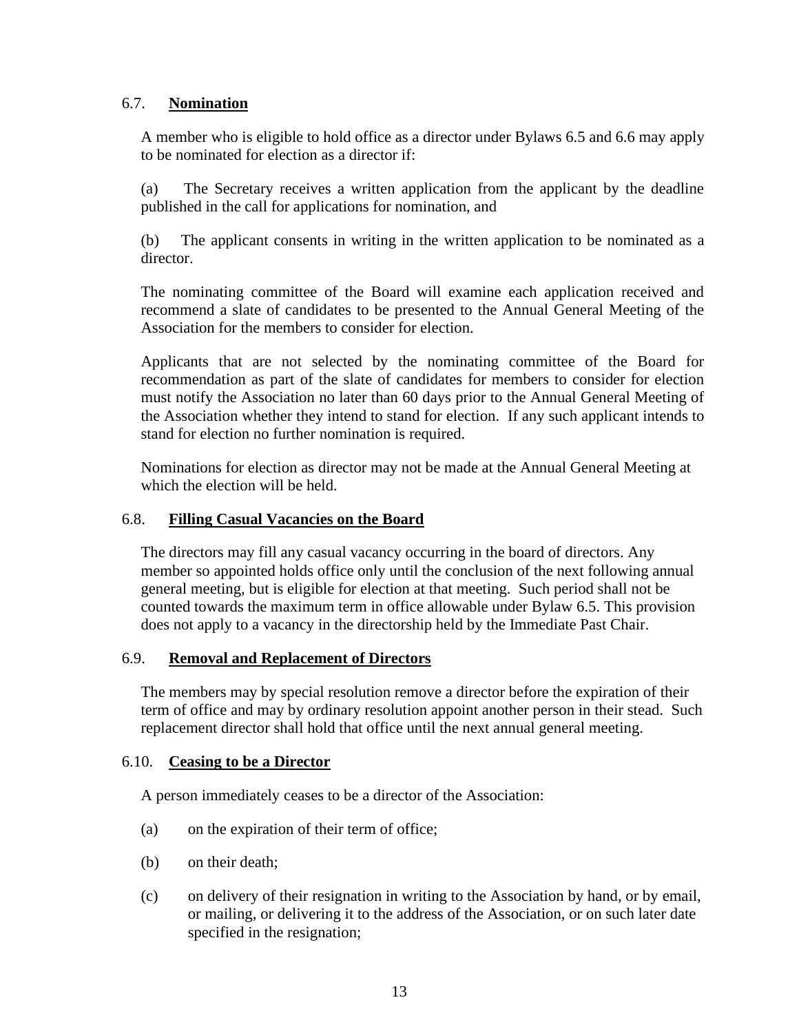# <span id="page-15-0"></span>6.7. **Nomination**

A member who is eligible to hold office as a director under Bylaws 6.5 and 6.6 may apply to be nominated for election as a director if:

(a) The Secretary receives a written application from the applicant by the deadline published in the call for applications for nomination, and

(b) The applicant consents in writing in the written application to be nominated as a director.

The nominating committee of the Board will examine each application received and recommend a slate of candidates to be presented to the Annual General Meeting of the Association for the members to consider for election.

Applicants that are not selected by the nominating committee of the Board for recommendation as part of the slate of candidates for members to consider for election must notify the Association no later than 60 days prior to the Annual General Meeting of the Association whether they intend to stand for election. If any such applicant intends to stand for election no further nomination is required.

Nominations for election as director may not be made at the Annual General Meeting at which the election will be held.

#### <span id="page-15-1"></span>6.8. **Filling Casual Vacancies on the Board**

The directors may fill any casual vacancy occurring in the board of directors. Any member so appointed holds office only until the conclusion of the next following annual general meeting, but is eligible for election at that meeting. Such period shall not be counted towards the maximum term in office allowable under Bylaw [6.5.](#page-14-0) This provision does not apply to a vacancy in the directorship held by the Immediate Past Chair.

#### <span id="page-15-2"></span>6.9. **Removal and Replacement of Directors**

The members may by special resolution remove a director before the expiration of their term of office and may by ordinary resolution appoint another person in their stead. Such replacement director shall hold that office until the next annual general meeting.

#### <span id="page-15-3"></span>6.10. **Ceasing to be a Director**

A person immediately ceases to be a director of the Association:

- (a) on the expiration of their term of office;
- (b) on their death;
- (c) on delivery of their resignation in writing to the Association by hand, or by email, or mailing, or delivering it to the address of the Association, or on such later date specified in the resignation;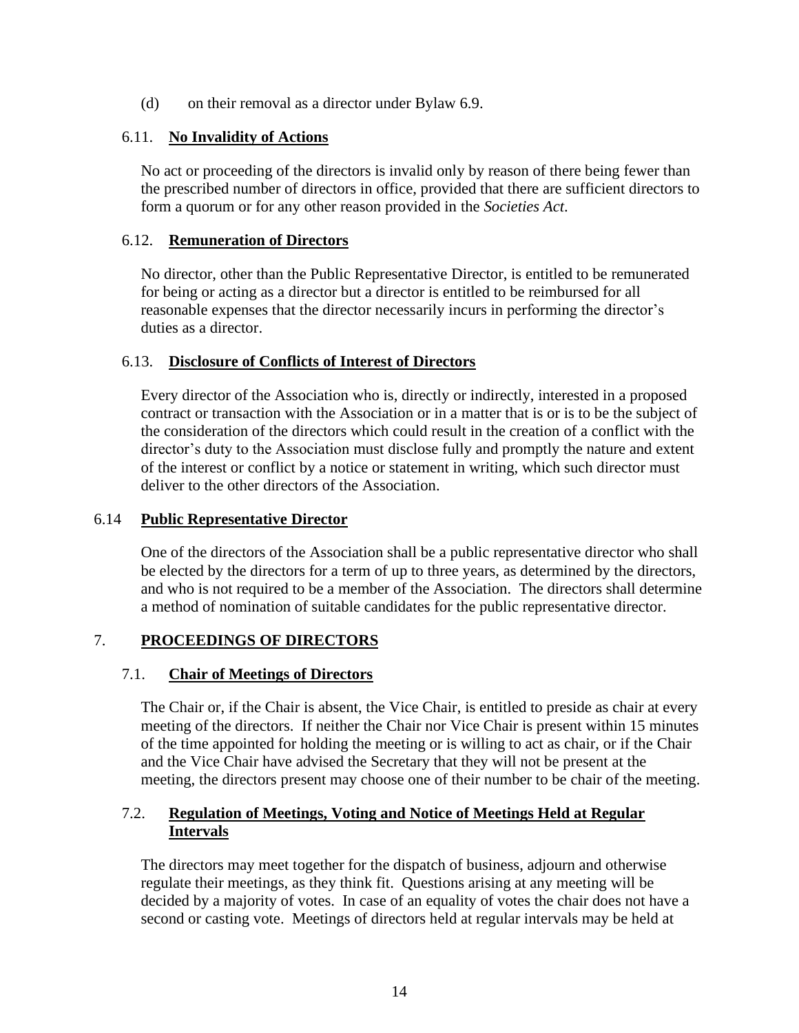(d) on their removal as a director under Bylaw [6.9.](#page-15-2)

### <span id="page-16-0"></span>6.11. **No Invalidity of Actions**

No act or proceeding of the directors is invalid only by reason of there being fewer than the prescribed number of directors in office, provided that there are sufficient directors to form a quorum or for any other reason provided in the *Societies Act*.

#### <span id="page-16-1"></span>6.12. **Remuneration of Directors**

No director, other than the Public Representative Director, is entitled to be remunerated for being or acting as a director but a director is entitled to be reimbursed for all reasonable expenses that the director necessarily incurs in performing the director's duties as a director.

### <span id="page-16-2"></span>6.13. **Disclosure of Conflicts of Interest of Directors**

Every director of the Association who is, directly or indirectly, interested in a proposed contract or transaction with the Association or in a matter that is or is to be the subject of the consideration of the directors which could result in the creation of a conflict with the director's duty to the Association must disclose fully and promptly the nature and extent of the interest or conflict by a notice or statement in writing, which such director must deliver to the other directors of the Association.

#### 6.14 **Public Representative Director**

One of the directors of the Association shall be a public representative director who shall be elected by the directors for a term of up to three years, as determined by the directors, and who is not required to be a member of the Association. The directors shall determine a method of nomination of suitable candidates for the public representative director.

# <span id="page-16-3"></span>7. **PROCEEDINGS OF DIRECTORS**

# <span id="page-16-4"></span>7.1. **Chair of Meetings of Directors**

The Chair or, if the Chair is absent, the Vice Chair, is entitled to preside as chair at every meeting of the directors. If neither the Chair nor Vice Chair is present within 15 minutes of the time appointed for holding the meeting or is willing to act as chair, or if the Chair and the Vice Chair have advised the Secretary that they will not be present at the meeting, the directors present may choose one of their number to be chair of the meeting.

### <span id="page-16-5"></span>7.2. **Regulation of Meetings, Voting and Notice of Meetings Held at Regular Intervals**

The directors may meet together for the dispatch of business, adjourn and otherwise regulate their meetings, as they think fit. Questions arising at any meeting will be decided by a majority of votes. In case of an equality of votes the chair does not have a second or casting vote. Meetings of directors held at regular intervals may be held at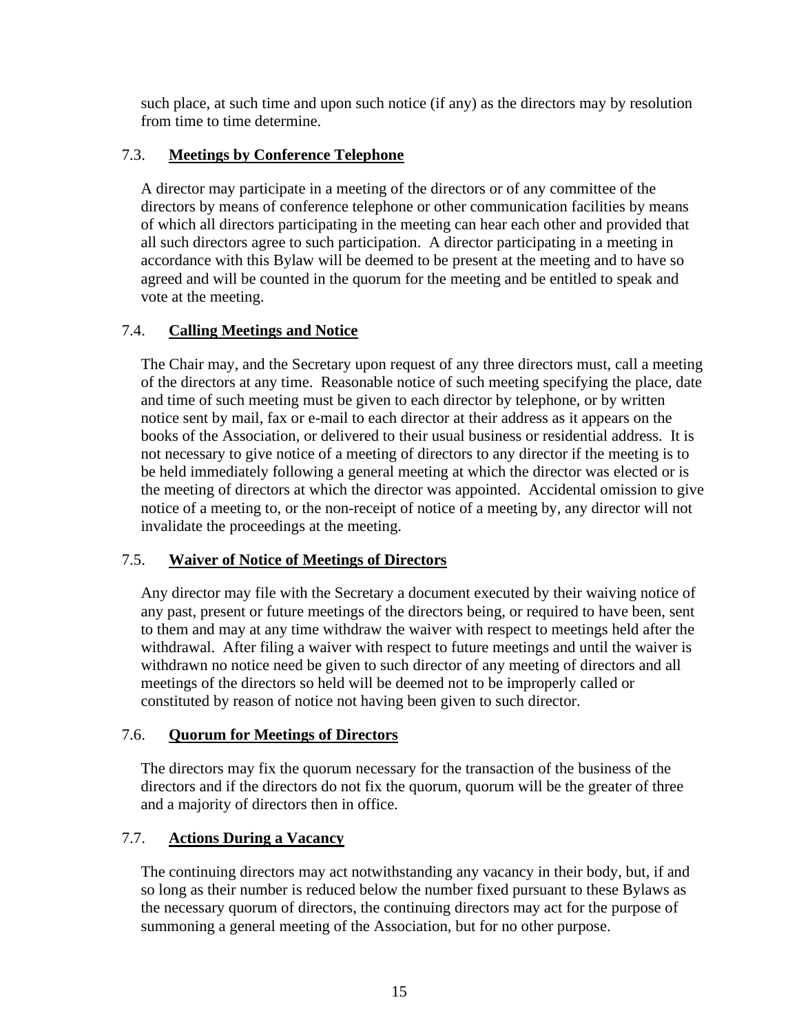such place, at such time and upon such notice (if any) as the directors may by resolution from time to time determine.

# <span id="page-17-0"></span>7.3. **Meetings by Conference Telephone**

A director may participate in a meeting of the directors or of any committee of the directors by means of conference telephone or other communication facilities by means of which all directors participating in the meeting can hear each other and provided that all such directors agree to such participation. A director participating in a meeting in accordance with this Bylaw will be deemed to be present at the meeting and to have so agreed and will be counted in the quorum for the meeting and be entitled to speak and vote at the meeting.

# <span id="page-17-1"></span>7.4. **Calling Meetings and Notice**

The Chair may, and the Secretary upon request of any three directors must, call a meeting of the directors at any time. Reasonable notice of such meeting specifying the place, date and time of such meeting must be given to each director by telephone, or by written notice sent by mail, fax or e-mail to each director at their address as it appears on the books of the Association, or delivered to their usual business or residential address. It is not necessary to give notice of a meeting of directors to any director if the meeting is to be held immediately following a general meeting at which the director was elected or is the meeting of directors at which the director was appointed. Accidental omission to give notice of a meeting to, or the non-receipt of notice of a meeting by, any director will not invalidate the proceedings at the meeting.

# <span id="page-17-2"></span>7.5. **Waiver of Notice of Meetings of Directors**

Any director may file with the Secretary a document executed by their waiving notice of any past, present or future meetings of the directors being, or required to have been, sent to them and may at any time withdraw the waiver with respect to meetings held after the withdrawal. After filing a waiver with respect to future meetings and until the waiver is withdrawn no notice need be given to such director of any meeting of directors and all meetings of the directors so held will be deemed not to be improperly called or constituted by reason of notice not having been given to such director.

# <span id="page-17-3"></span>7.6. **Quorum for Meetings of Directors**

The directors may fix the quorum necessary for the transaction of the business of the directors and if the directors do not fix the quorum, quorum will be the greater of three and a majority of directors then in office.

# <span id="page-17-4"></span>7.7. **Actions During a Vacancy**

The continuing directors may act notwithstanding any vacancy in their body, but, if and so long as their number is reduced below the number fixed pursuant to these Bylaws as the necessary quorum of directors, the continuing directors may act for the purpose of summoning a general meeting of the Association, but for no other purpose.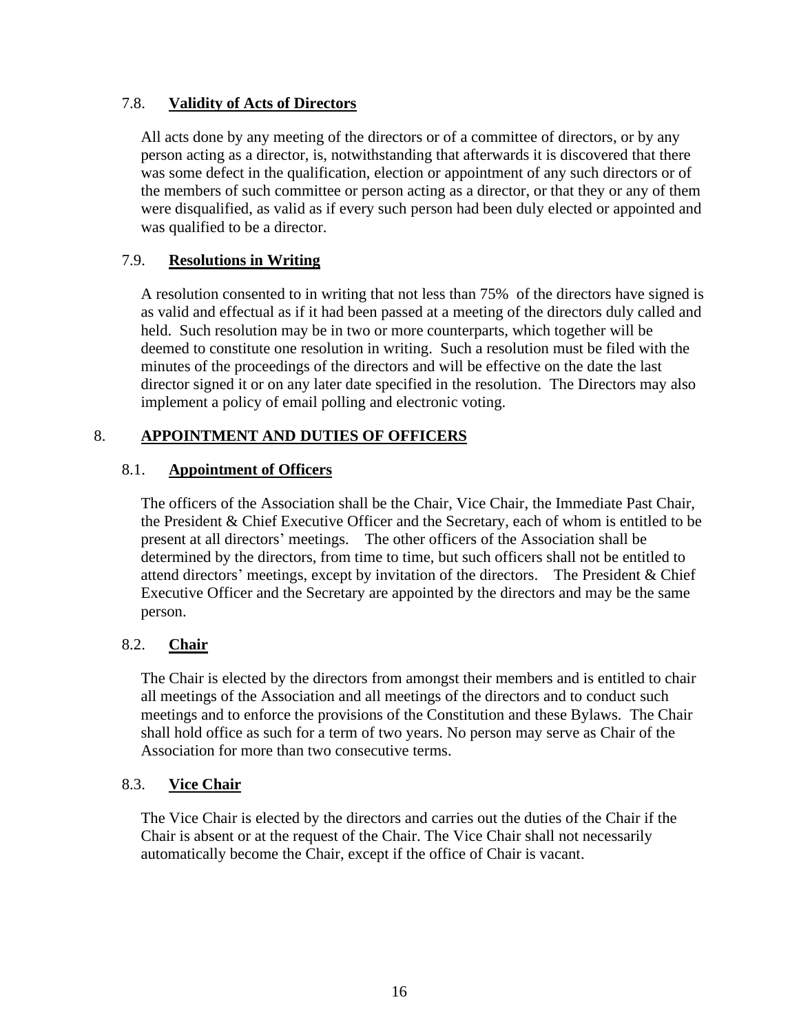# <span id="page-18-0"></span>7.8. **Validity of Acts of Directors**

All acts done by any meeting of the directors or of a committee of directors, or by any person acting as a director, is, notwithstanding that afterwards it is discovered that there was some defect in the qualification, election or appointment of any such directors or of the members of such committee or person acting as a director, or that they or any of them were disqualified, as valid as if every such person had been duly elected or appointed and was qualified to be a director.

### <span id="page-18-1"></span>7.9. **Resolutions in Writing**

A resolution consented to in writing that not less than 75% of the directors have signed is as valid and effectual as if it had been passed at a meeting of the directors duly called and held. Such resolution may be in two or more counterparts, which together will be deemed to constitute one resolution in writing. Such a resolution must be filed with the minutes of the proceedings of the directors and will be effective on the date the last director signed it or on any later date specified in the resolution. The Directors may also implement a policy of email polling and electronic voting.

# <span id="page-18-2"></span>8. **APPOINTMENT AND DUTIES OF OFFICERS**

# <span id="page-18-3"></span>8.1. **Appointment of Officers**

The officers of the Association shall be the Chair, Vice Chair, the Immediate Past Chair, the President & Chief Executive Officer and the Secretary, each of whom is entitled to be present at all directors' meetings. The other officers of the Association shall be determined by the directors, from time to time, but such officers shall not be entitled to attend directors' meetings, except by invitation of the directors. The President & Chief Executive Officer and the Secretary are appointed by the directors and may be the same person.

# <span id="page-18-4"></span>8.2. **Chair**

The Chair is elected by the directors from amongst their members and is entitled to chair all meetings of the Association and all meetings of the directors and to conduct such meetings and to enforce the provisions of the Constitution and these Bylaws. The Chair shall hold office as such for a term of two years. No person may serve as Chair of the Association for more than two consecutive terms.

#### <span id="page-18-5"></span>8.3. **Vice Chair**

The Vice Chair is elected by the directors and carries out the duties of the Chair if the Chair is absent or at the request of the Chair. The Vice Chair shall not necessarily automatically become the Chair, except if the office of Chair is vacant.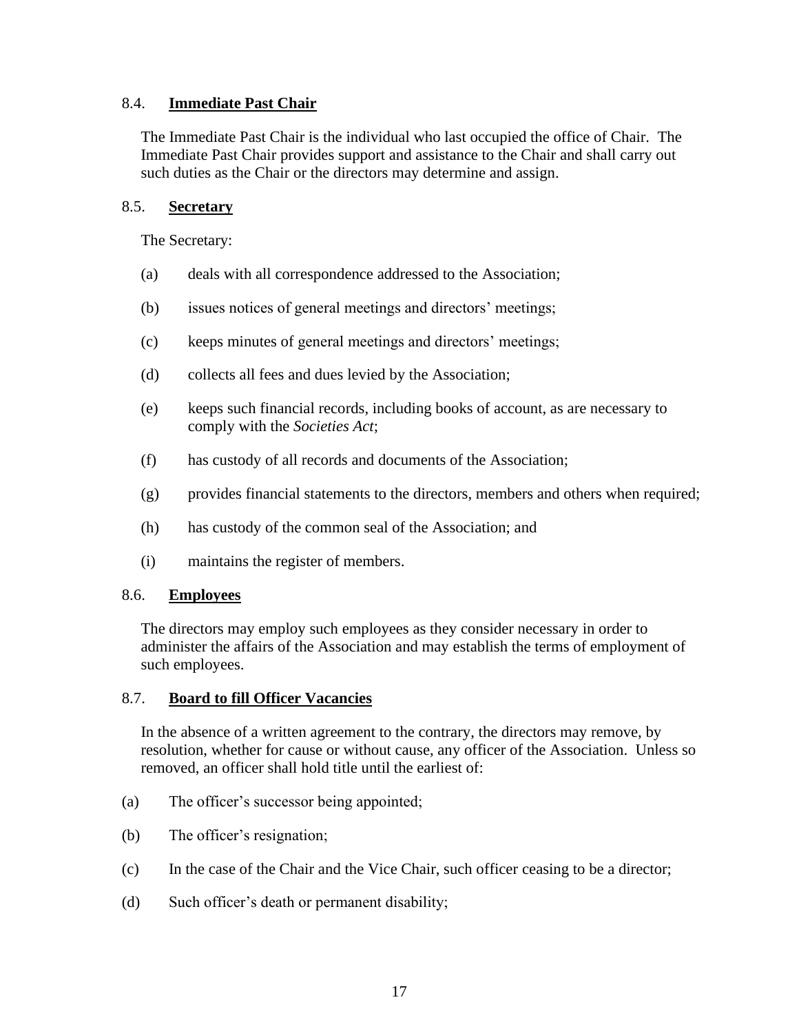### <span id="page-19-0"></span>8.4. **Immediate Past Chair**

The Immediate Past Chair is the individual who last occupied the office of Chair. The Immediate Past Chair provides support and assistance to the Chair and shall carry out such duties as the Chair or the directors may determine and assign.

### <span id="page-19-1"></span>8.5. **Secretary**

The Secretary:

- (a) deals with all correspondence addressed to the Association;
- (b) issues notices of general meetings and directors' meetings;
- (c) keeps minutes of general meetings and directors' meetings;
- (d) collects all fees and dues levied by the Association;
- (e) keeps such financial records, including books of account, as are necessary to comply with the *Societies Act*;
- (f) has custody of all records and documents of the Association;
- (g) provides financial statements to the directors, members and others when required;
- (h) has custody of the common seal of the Association; and
- (i) maintains the register of members.

#### <span id="page-19-2"></span>8.6. **Employees**

The directors may employ such employees as they consider necessary in order to administer the affairs of the Association and may establish the terms of employment of such employees.

#### 8.7. **Board to fill Officer Vacancies**

In the absence of a written agreement to the contrary, the directors may remove, by resolution, whether for cause or without cause, any officer of the Association. Unless so removed, an officer shall hold title until the earliest of:

- (a) The officer's successor being appointed;
- (b) The officer's resignation;
- (c) In the case of the Chair and the Vice Chair, such officer ceasing to be a director;
- (d) Such officer's death or permanent disability;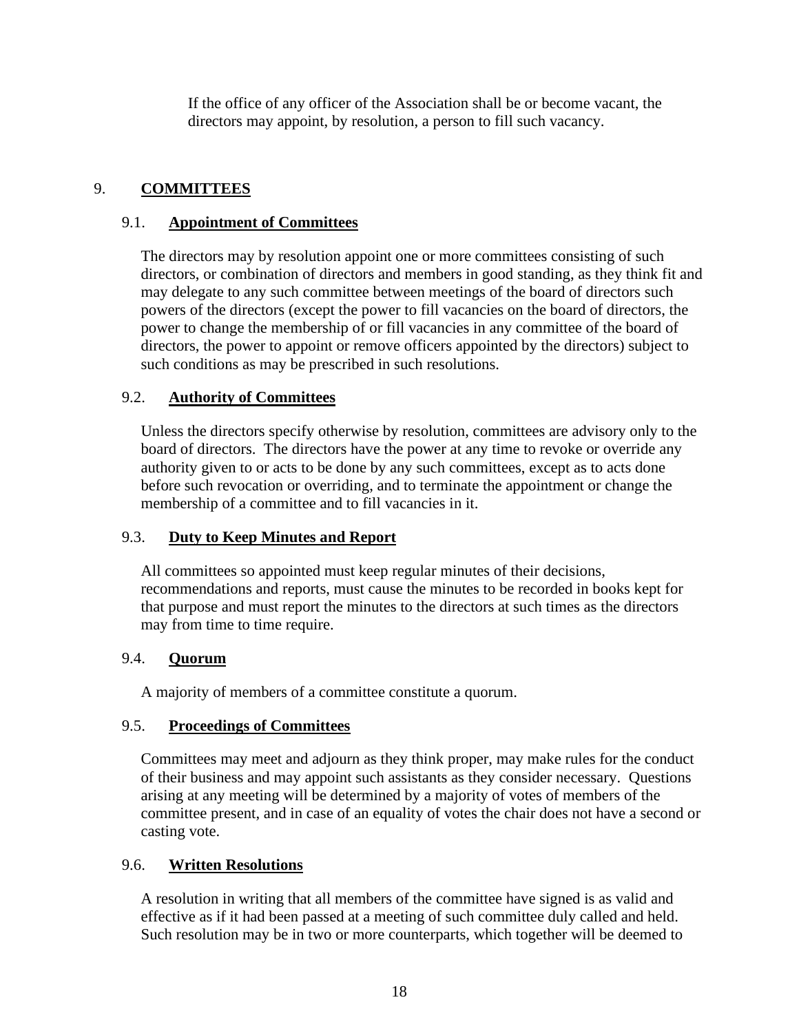If the office of any officer of the Association shall be or become vacant, the directors may appoint, by resolution, a person to fill such vacancy.

# <span id="page-20-0"></span>9. **COMMITTEES**

# <span id="page-20-1"></span>9.1. **Appointment of Committees**

The directors may by resolution appoint one or more committees consisting of such directors, or combination of directors and members in good standing, as they think fit and may delegate to any such committee between meetings of the board of directors such powers of the directors (except the power to fill vacancies on the board of directors, the power to change the membership of or fill vacancies in any committee of the board of directors, the power to appoint or remove officers appointed by the directors) subject to such conditions as may be prescribed in such resolutions.

# <span id="page-20-2"></span>9.2. **Authority of Committees**

Unless the directors specify otherwise by resolution, committees are advisory only to the board of directors. The directors have the power at any time to revoke or override any authority given to or acts to be done by any such committees, except as to acts done before such revocation or overriding, and to terminate the appointment or change the membership of a committee and to fill vacancies in it.

# <span id="page-20-3"></span>9.3. **Duty to Keep Minutes and Report**

All committees so appointed must keep regular minutes of their decisions, recommendations and reports, must cause the minutes to be recorded in books kept for that purpose and must report the minutes to the directors at such times as the directors may from time to time require.

# <span id="page-20-4"></span>9.4. **Quorum**

A majority of members of a committee constitute a quorum.

# <span id="page-20-5"></span>9.5. **Proceedings of Committees**

Committees may meet and adjourn as they think proper, may make rules for the conduct of their business and may appoint such assistants as they consider necessary. Questions arising at any meeting will be determined by a majority of votes of members of the committee present, and in case of an equality of votes the chair does not have a second or casting vote.

# <span id="page-20-6"></span>9.6. **Written Resolutions**

A resolution in writing that all members of the committee have signed is as valid and effective as if it had been passed at a meeting of such committee duly called and held. Such resolution may be in two or more counterparts, which together will be deemed to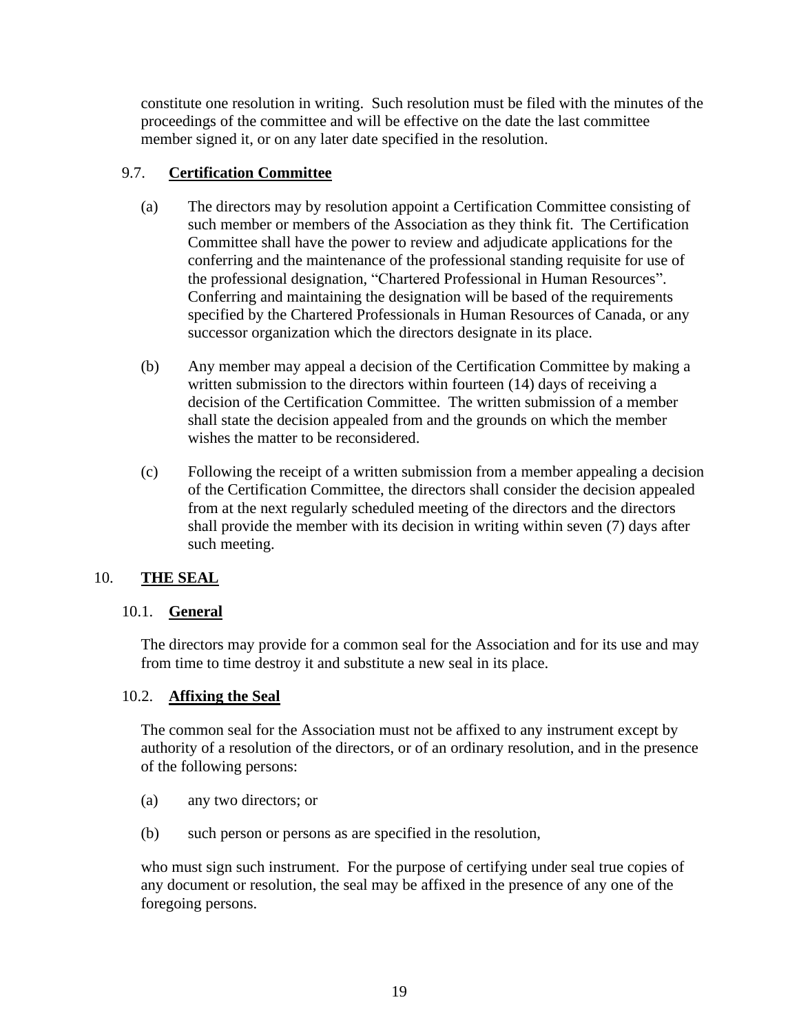constitute one resolution in writing. Such resolution must be filed with the minutes of the proceedings of the committee and will be effective on the date the last committee member signed it, or on any later date specified in the resolution.

# <span id="page-21-0"></span>9.7. **Certification Committee**

- (a) The directors may by resolution appoint a Certification Committee consisting of such member or members of the Association as they think fit. The Certification Committee shall have the power to review and adjudicate applications for the conferring and the maintenance of the professional standing requisite for use of the professional designation, "Chartered Professional in Human Resources". Conferring and maintaining the designation will be based of the requirements specified by the Chartered Professionals in Human Resources of Canada, or any successor organization which the directors designate in its place.
- (b) Any member may appeal a decision of the Certification Committee by making a written submission to the directors within fourteen (14) days of receiving a decision of the Certification Committee. The written submission of a member shall state the decision appealed from and the grounds on which the member wishes the matter to be reconsidered.
- (c) Following the receipt of a written submission from a member appealing a decision of the Certification Committee, the directors shall consider the decision appealed from at the next regularly scheduled meeting of the directors and the directors shall provide the member with its decision in writing within seven (7) days after such meeting.

# <span id="page-21-1"></span>10. **THE SEAL**

# <span id="page-21-2"></span>10.1. **General**

The directors may provide for a common seal for the Association and for its use and may from time to time destroy it and substitute a new seal in its place.

# <span id="page-21-3"></span>10.2. **Affixing the Seal**

The common seal for the Association must not be affixed to any instrument except by authority of a resolution of the directors, or of an ordinary resolution, and in the presence of the following persons:

- (a) any two directors; or
- (b) such person or persons as are specified in the resolution,

who must sign such instrument. For the purpose of certifying under seal true copies of any document or resolution, the seal may be affixed in the presence of any one of the foregoing persons.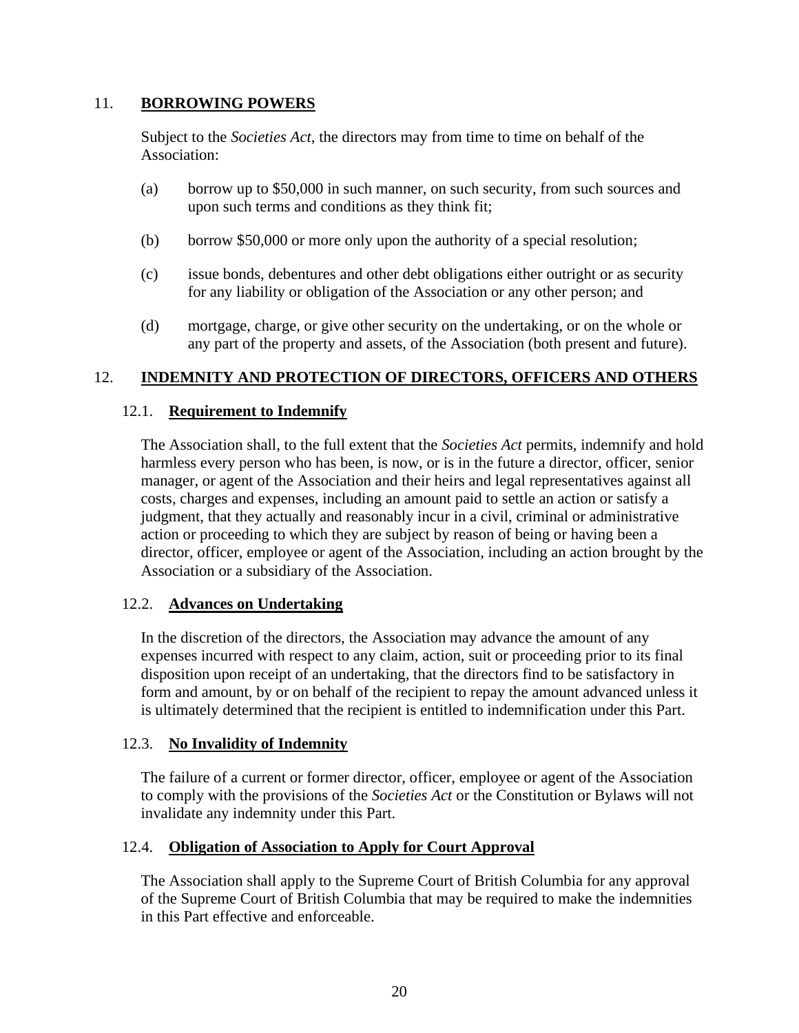### <span id="page-22-0"></span>11. **BORROWING POWERS**

Subject to the *Societies Act*, the directors may from time to time on behalf of the Association:

- (a) borrow up to \$50,000 in such manner, on such security, from such sources and upon such terms and conditions as they think fit;
- (b) borrow \$50,000 or more only upon the authority of a special resolution;
- (c) issue bonds, debentures and other debt obligations either outright or as security for any liability or obligation of the Association or any other person; and
- (d) mortgage, charge, or give other security on the undertaking, or on the whole or any part of the property and assets, of the Association (both present and future).

# <span id="page-22-1"></span>12. **INDEMNITY AND PROTECTION OF DIRECTORS, OFFICERS AND OTHERS**

### <span id="page-22-2"></span>12.1. **Requirement to Indemnify**

The Association shall, to the full extent that the *Societies Act* permits, indemnify and hold harmless every person who has been, is now, or is in the future a director, officer, senior manager, or agent of the Association and their heirs and legal representatives against all costs, charges and expenses, including an amount paid to settle an action or satisfy a judgment, that they actually and reasonably incur in a civil, criminal or administrative action or proceeding to which they are subject by reason of being or having been a director, officer, employee or agent of the Association, including an action brought by the Association or a subsidiary of the Association.

#### <span id="page-22-3"></span>12.2. **Advances on Undertaking**

In the discretion of the directors, the Association may advance the amount of any expenses incurred with respect to any claim, action, suit or proceeding prior to its final disposition upon receipt of an undertaking, that the directors find to be satisfactory in form and amount, by or on behalf of the recipient to repay the amount advanced unless it is ultimately determined that the recipient is entitled to indemnification under this Part.

#### <span id="page-22-4"></span>12.3. **No Invalidity of Indemnity**

The failure of a current or former director, officer, employee or agent of the Association to comply with the provisions of the *Societies Act* or the Constitution or Bylaws will not invalidate any indemnity under this Part.

#### <span id="page-22-5"></span>12.4. **Obligation of Association to Apply for Court Approval**

The Association shall apply to the Supreme Court of British Columbia for any approval of the Supreme Court of British Columbia that may be required to make the indemnities in this Part effective and enforceable.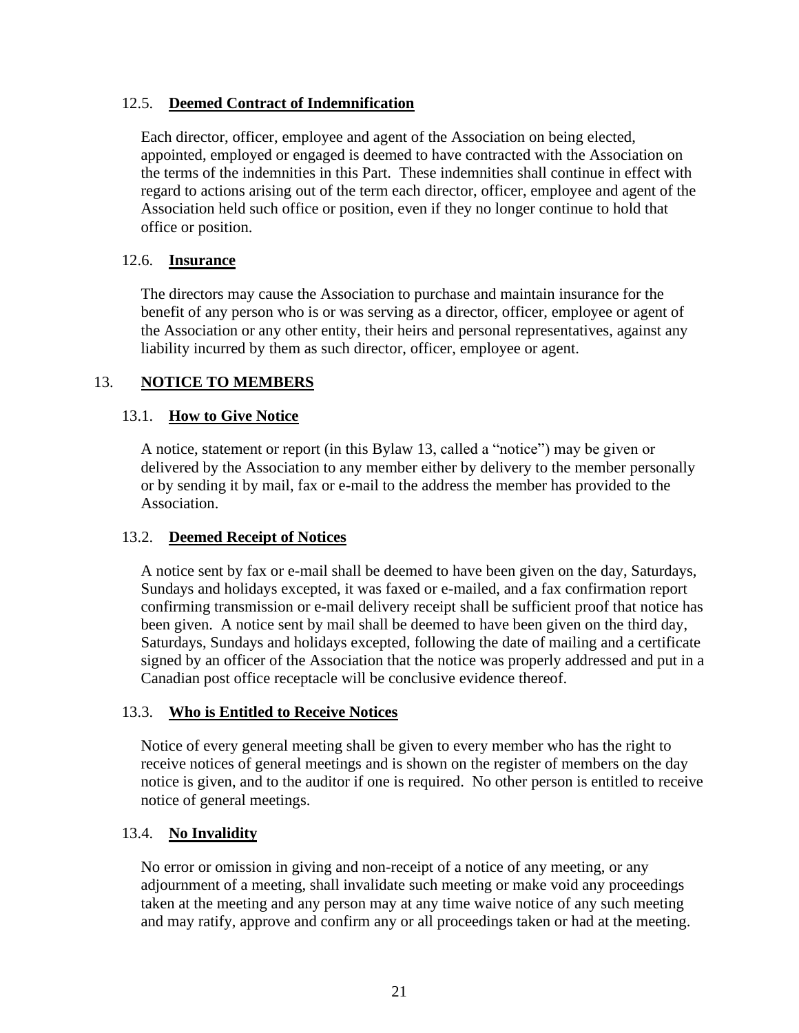# <span id="page-23-0"></span>12.5. **Deemed Contract of Indemnification**

Each director, officer, employee and agent of the Association on being elected, appointed, employed or engaged is deemed to have contracted with the Association on the terms of the indemnities in this Part. These indemnities shall continue in effect with regard to actions arising out of the term each director, officer, employee and agent of the Association held such office or position, even if they no longer continue to hold that office or position.

### <span id="page-23-1"></span>12.6. **Insurance**

The directors may cause the Association to purchase and maintain insurance for the benefit of any person who is or was serving as a director, officer, employee or agent of the Association or any other entity, their heirs and personal representatives, against any liability incurred by them as such director, officer, employee or agent.

### <span id="page-23-2"></span>13. **NOTICE TO MEMBERS**

### <span id="page-23-3"></span>13.1. **How to Give Notice**

A notice, statement or report (in this Bylaw [13,](#page-23-2) called a "notice") may be given or delivered by the Association to any member either by delivery to the member personally or by sending it by mail, fax or e-mail to the address the member has provided to the Association.

#### <span id="page-23-4"></span>13.2. **Deemed Receipt of Notices**

A notice sent by fax or e-mail shall be deemed to have been given on the day, Saturdays, Sundays and holidays excepted, it was faxed or e-mailed, and a fax confirmation report confirming transmission or e-mail delivery receipt shall be sufficient proof that notice has been given. A notice sent by mail shall be deemed to have been given on the third day, Saturdays, Sundays and holidays excepted, following the date of mailing and a certificate signed by an officer of the Association that the notice was properly addressed and put in a Canadian post office receptacle will be conclusive evidence thereof.

#### <span id="page-23-5"></span>13.3. **Who is Entitled to Receive Notices**

Notice of every general meeting shall be given to every member who has the right to receive notices of general meetings and is shown on the register of members on the day notice is given, and to the auditor if one is required. No other person is entitled to receive notice of general meetings.

#### <span id="page-23-6"></span>13.4. **No Invalidity**

No error or omission in giving and non-receipt of a notice of any meeting, or any adjournment of a meeting, shall invalidate such meeting or make void any proceedings taken at the meeting and any person may at any time waive notice of any such meeting and may ratify, approve and confirm any or all proceedings taken or had at the meeting.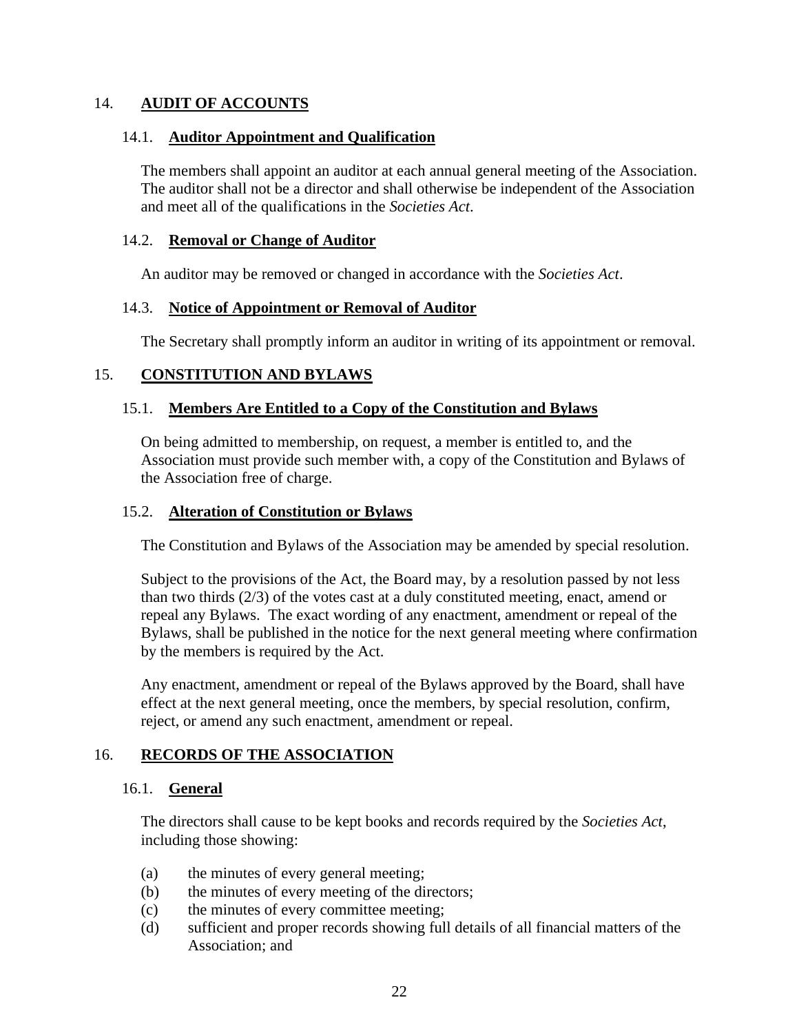### <span id="page-24-0"></span>14. **AUDIT OF ACCOUNTS**

#### <span id="page-24-1"></span>14.1. **Auditor Appointment and Qualification**

The members shall appoint an auditor at each annual general meeting of the Association. The auditor shall not be a director and shall otherwise be independent of the Association and meet all of the qualifications in the *Societies Act*.

#### <span id="page-24-2"></span>14.2. **Removal or Change of Auditor**

An auditor may be removed or changed in accordance with the *Societies Act*.

### <span id="page-24-3"></span>14.3. **Notice of Appointment or Removal of Auditor**

The Secretary shall promptly inform an auditor in writing of its appointment or removal.

# <span id="page-24-4"></span>15. **CONSTITUTION AND BYLAWS**

# <span id="page-24-5"></span>15.1. **Members Are Entitled to a Copy of the Constitution and Bylaws**

On being admitted to membership, on request, a member is entitled to, and the Association must provide such member with, a copy of the Constitution and Bylaws of the Association free of charge.

### <span id="page-24-6"></span>15.2. **Alteration of Constitution or Bylaws**

The Constitution and Bylaws of the Association may be amended by special resolution.

Subject to the provisions of the Act, the Board may, by a resolution passed by not less than two thirds (2/3) of the votes cast at a duly constituted meeting, enact, amend or repeal any Bylaws. The exact wording of any enactment, amendment or repeal of the Bylaws, shall be published in the notice for the next general meeting where confirmation by the members is required by the Act.

Any enactment, amendment or repeal of the Bylaws approved by the Board, shall have effect at the next general meeting, once the members, by special resolution, confirm, reject, or amend any such enactment, amendment or repeal.

# <span id="page-24-8"></span><span id="page-24-7"></span>16. **RECORDS OF THE ASSOCIATION**

#### 16.1. **General**

The directors shall cause to be kept books and records required by the *Societies Act*, including those showing:

- (a) the minutes of every general meeting;
- (b) the minutes of every meeting of the directors;
- (c) the minutes of every committee meeting;
- (d) sufficient and proper records showing full details of all financial matters of the Association; and